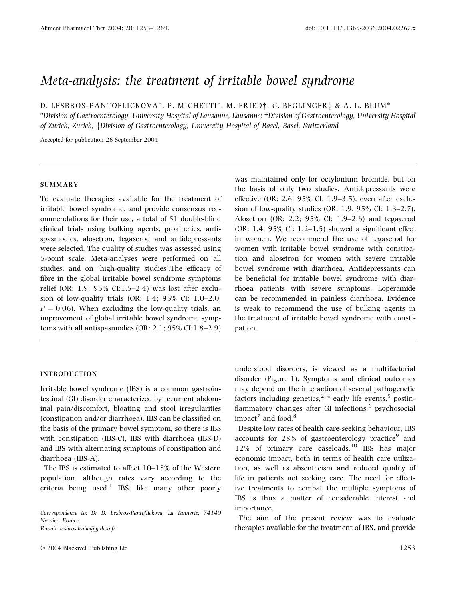# Meta-analysis: the treatment of irritable bowel syndrome

D. LESBROS-PANTOFLICKOVA\*, P. MICHETTI\*, M. FRIED†, C. BEGLINGER‡ & A. L. BLUM\*

\*Division of Gastroenterology, University Hospital of Lausanne, Lausanne; †Division of Gastroenterology, University Hospital of Zurich, Zurich; -Division of Gastroenterology, University Hospital of Basel, Basel, Switzerland

Accepted for publication 26 September 2004

### **SUMMARY**

To evaluate therapies available for the treatment of irritable bowel syndrome, and provide consensus recommendations for their use, a total of 51 double-blind clinical trials using bulking agents, prokinetics, antispasmodics, alosetron, tegaserod and antidepressants were selected. The quality of studies was assessed using 5-point scale. Meta-analyses were performed on all studies, and on 'high-quality studies'.The efficacy of fibre in the global irritable bowel syndrome symptoms relief (OR: 1.9; 95% CI:1.5–2.4) was lost after exclusion of low-quality trials (OR: 1.4; 95% CI: 1.0–2.0,  $P = 0.06$ ). When excluding the low-quality trials, an improvement of global irritable bowel syndrome symptoms with all antispasmodics (OR: 2.1; 95% CI:1.8–2.9)

was maintained only for octylonium bromide, but on the basis of only two studies. Antidepressants were effective (OR: 2.6, 95% CI: 1.9–3.5), even after exclusion of low-quality studies (OR: 1.9, 95% CI: 1.3–2.7). Alosetron (OR: 2.2; 95% CI: 1.9–2.6) and tegaserod  $(OR: 1.4; 95\% \text{ CI: } 1.2-1.5)$  showed a significant effect in women. We recommend the use of tegaserod for women with irritable bowel syndrome with constipation and alosetron for women with severe irritable bowel syndrome with diarrhoea. Antidepressants can be beneficial for irritable bowel syndrome with diarrhoea patients with severe symptoms. Loperamide can be recommended in painless diarrhoea. Evidence is weak to recommend the use of bulking agents in the treatment of irritable bowel syndrome with constipation.

## INTRODUCTION

Irritable bowel syndrome (IBS) is a common gastrointestinal (GI) disorder characterized by recurrent abdominal pain/discomfort, bloating and stool irregularities (constipation and/or diarrhoea). IBS can be classified on the basis of the primary bowel symptom, so there is IBS with constipation (IBS-C), IBS with diarrhoea (IBS-D) and IBS with alternating symptoms of constipation and diarrhoea (IBS-A).

The IBS is estimated to affect 10–15% of the Western population, although rates vary according to the criteria being used. $1$  IBS, like many other poorly

Correspondence to: Dr D. Lesbros-Pantoflickova, La Tannerie, 74140 Nernier, France. E-mail: lesbrosdraha@yahoo.fr

understood disorders, is viewed as a multifactorial disorder (Figure 1). Symptoms and clinical outcomes may depend on the interaction of several pathogenetic factors including genetics.<sup>2-4</sup> early life events,<sup>5</sup> postinflammatory changes after GI infections, $6$  psychosocial impact<sup>7</sup> and food.<sup>8</sup>

Despite low rates of health care-seeking behaviour, IBS accounts for  $28\%$  of gastroenterology practice<sup>9</sup> and  $12\%$  of primary care caseloads.<sup>10</sup> IBS has major economic impact, both in terms of health care utilization, as well as absenteeism and reduced quality of life in patients not seeking care. The need for effective treatments to combat the multiple symptoms of IBS is thus a matter of considerable interest and importance.

The aim of the present review was to evaluate therapies available for the treatment of IBS, and provide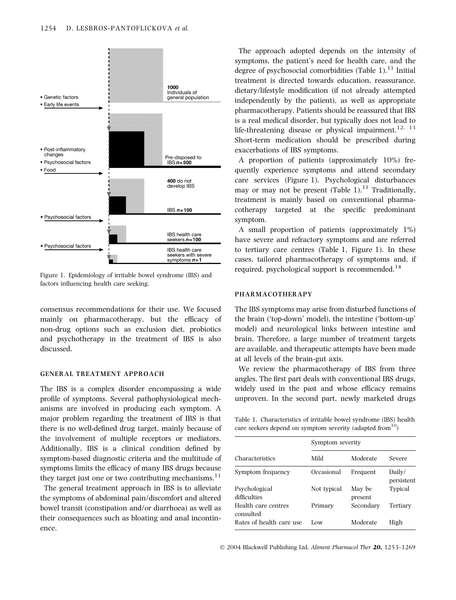

Figure 1. Epidemiology of irritable bowel syndrome (IBS) and factors influencing health care seeking.

consensus recommendations for their use. We focused mainly on pharmacotherapy, but the efficacy of non-drug options such as exclusion diet, probiotics and psychotherapy in the treatment of IBS is also discussed.

## GENERAL TREATMENT APPROACH

The IBS is a complex disorder encompassing a wide profile of symptoms. Several pathophysiological mechanisms are involved in producing each symptom. A major problem regarding the treatment of IBS is that there is no well-defined drug target, mainly because of the involvement of multiple receptors or mediators. Additionally, IBS is a clinical condition defined by symptom-based diagnostic criteria and the multitude of symptoms limits the efficacy of many IBS drugs because they target just one or two contributing mechanisms. $^{11}$ 

The general treatment approach in IBS is to alleviate the symptoms of abdominal pain/discomfort and altered bowel transit (constipation and/or diarrhoea) as well as their consequences such as bloating and anal incontinence.

The approach adopted depends on the intensity of symptoms, the patient's need for health care, and the degree of psychosocial comorbidities (Table 1). $^{11}$  Initial treatment is directed towards education, reassurance, dietary/lifestyle modification (if not already attempted independently by the patient), as well as appropriate pharmacotherapy. Patients should be reassured that IBS is a real medical disorder, but typically does not lead to life-threatening disease or physical impairment.<sup>12, 13</sup> Short-term medication should be prescribed during exacerbations of IBS symptoms.

A proportion of patients (approximately 10%) frequently experience symptoms and attend secondary care services (Figure 1). Psychological disturbances may or may not be present (Table 1).<sup>11</sup> Traditionally, treatment is mainly based on conventional pharmacotherapy targeted at the specific predominant symptom.

A small proportion of patients (approximately 1%) have severe and refractory symptoms and are referred to tertiary care centres (Table 1, Figure 1). In these cases, tailored pharmacotherapy of symptoms and, if required, psychological support is recommended.<sup>14</sup>

## PHARMACOTHERAPY

The IBS symptoms may arise from disturbed functions of the brain ('top-down' model), the intestine ('bottom-up' model) and neurological links between intestine and brain. Therefore, a large number of treatment targets are available, and therapeutic attempts have been made at all levels of the brain-gut axis.

We review the pharmacotherapy of IBS from three angles. The first part deals with conventional IBS drugs, widely used in the past and whose efficacy remains unproven. In the second part, newly marketed drugs

Table 1. Characteristics of irritable bowel syndrome (IBS) health care seekers depend on symptom severity (adapted from  $10$ )

|                                  | Symptom severity |                   |                      |  |  |  |  |
|----------------------------------|------------------|-------------------|----------------------|--|--|--|--|
| Characteristics                  | Mild             | Moderate          | Severe               |  |  |  |  |
| Symptom frequency                | Occasional       | Frequent          | Daily/<br>persistent |  |  |  |  |
| Psychological<br>difficulties    | Not typical      | May be<br>present | Typical              |  |  |  |  |
| Health care centres<br>consulted | Primary          | Secondary         | Tertiarv             |  |  |  |  |
| Rates of health care use         | Low              | Moderate          | High                 |  |  |  |  |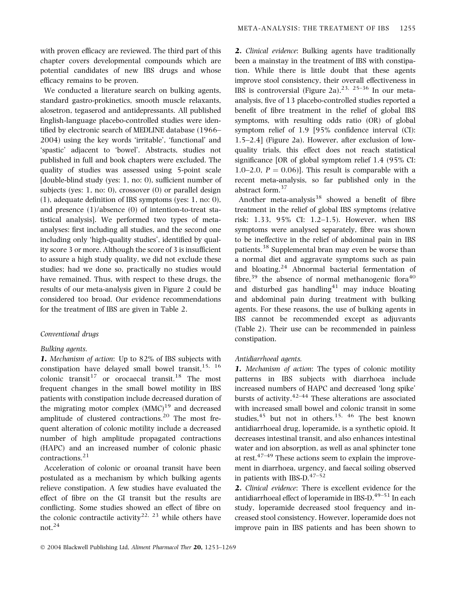with proven efficacy are reviewed. The third part of this chapter covers developmental compounds which are potential candidates of new IBS drugs and whose efficacy remains to be proven.

We conducted a literature search on bulking agents, standard gastro-prokinetics, smooth muscle relaxants, alosetron, tegaserod and antidepressants. All published English-language placebo-controlled studies were identified by electronic search of MEDLINE database (1966– 2004) using the key words 'irritable', 'functional' and 'spastic' adjacent to 'bowel'. Abstracts, studies not published in full and book chapters were excluded. The quality of studies was assessed using 5-point scale [double-blind study (yes: 1, no: 0), sufficient number of subjects (yes: 1, no: 0), crossover (0) or parallel design (1), adequate definition of IBS symptoms (yes: 1, no: 0), and presence (1)/absence (0) of intention-to-treat statistical analysis]. We performed two types of metaanalyses: first including all studies, and the second one including only 'high-quality studies', identified by quality score 3 or more. Although the score of 3 is insufficient to assure a high study quality, we did not exclude these studies; had we done so, practically no studies would have remained. Thus, with respect to these drugs, the results of our meta-analysis given in Figure 2 could be considered too broad. Our evidence recommendations for the treatment of IBS are given in Table 2.

## Conventional drugs

#### Bulking agents.

1. Mechanism of action: Up to 82% of IBS subjects with constipation have delayed small bowel transit,  $15, 16$ colonic transit<sup>17</sup> or orocaecal transit.<sup>18</sup> The most frequent changes in the small bowel motility in IBS patients with constipation include decreased duration of the migrating motor complex  $(MMC)^{19}$  and decreased amplitude of clustered contractions.<sup>20</sup> The most frequent alteration of colonic motility include a decreased number of high amplitude propagated contractions (HAPC) and an increased number of colonic phasic contractions.<sup>21</sup>

Acceleration of colonic or oroanal transit have been postulated as a mechanism by which bulking agents relieve constipation. A few studies have evaluated the effect of fibre on the GI transit but the results are conflicting. Some studies showed an effect of fibre on the colonic contractile activity<sup>22, 23</sup> while others have not.<sup>24</sup>

2. Clinical evidence: Bulking agents have traditionally been a mainstay in the treatment of IBS with constipation. While there is little doubt that these agents improve stool consistency, their overall effectiveness in IBS is controversial (Figure 2a).<sup>23, 25–36</sup> In our metaanalysis, five of 13 placebo-controlled studies reported a benefit of fibre treatment in the relief of global IBS symptoms, with resulting odds ratio (OR) of global symptom relief of 1.9 [95% confidence interval (CI): 1.5–2.4] (Figure 2a). However, after exclusion of lowquality trials, this effect does not reach statistical significance [OR of global symptom relief 1.4 (95% CI: 1.0–2.0,  $P = 0.06$ ]. This result is comparable with a recent meta-analysis, so far published only in the abstract form.<sup>37</sup>

Another meta-analysis $38$  showed a benefit of fibre treatment in the relief of global IBS symptoms (relative risk: 1.33, 95% CI: 1.2–1.5). However, when IBS symptoms were analysed separately, fibre was shown to be ineffective in the relief of abdominal pain in IBS patients.<sup>38</sup> Supplemental bran may even be worse than a normal diet and aggravate symptoms such as pain and bloating.<sup>24</sup> Abnormal bacterial fermentation of fibre,<sup>39</sup> the absence of normal methanogenic flora<sup>40</sup> and disturbed gas handling<sup>41</sup> may induce bloating and abdominal pain during treatment with bulking agents. For these reasons, the use of bulking agents in IBS cannot be recommended except as adjuvants (Table 2). Their use can be recommended in painless constipation.

## Antidiarrhoeal agents.

1. Mechanism of action: The types of colonic motility patterns in IBS subjects with diarrhoea include increased numbers of HAPC and decreased 'long spike' bursts of activity. $42-44$  These alterations are associated with increased small bowel and colonic transit in some studies,  $45$  but not in others.<sup>15, 46</sup> The best known antidiarrhoeal drug, loperamide, is a synthetic opioid. It decreases intestinal transit, and also enhances intestinal water and ion absorption, as well as anal sphincter tone at rest.<sup>47–49</sup> These actions seem to explain the improvement in diarrhoea, urgency, and faecal soiling observed in patients with IBS-D. $47-52$ 

2. Clinical evidence: There is excellent evidence for the antidiarrhoeal effect of loperamide in IBS-D. $^{49-51}$  In each study, loperamide decreased stool frequency and increased stool consistency. However, loperamide does not improve pain in IBS patients and has been shown to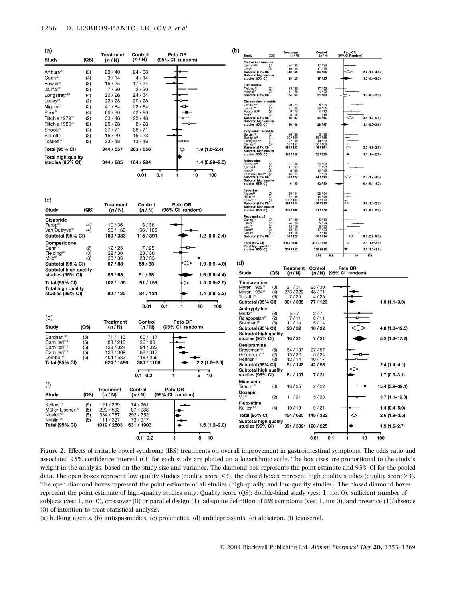| (a)<br>Study                                                                                                                       | (QS)                            | Treatment<br>(n / N)                                    | Control<br>(n/N)                                   | Peto OR<br>(95% CI random)             |                                    | (b) | Study<br>Pinaverium bromide                                                                                                                                                              | (QS)                         | <b>Treatment</b><br>(n/N)                                                                                                   | Control<br>(n/N)                                                                                            | Peto OR<br>(95% CI Random) |                                                          |                                  |
|------------------------------------------------------------------------------------------------------------------------------------|---------------------------------|---------------------------------------------------------|----------------------------------------------------|----------------------------------------|------------------------------------|-----|------------------------------------------------------------------------------------------------------------------------------------------------------------------------------------------|------------------------------|-----------------------------------------------------------------------------------------------------------------------------|-------------------------------------------------------------------------------------------------------------|----------------------------|----------------------------------------------------------|----------------------------------|
| Arthurs <sup>25</sup><br>Cook <sup>23</sup>                                                                                        | (3)<br>(4)                      | 29 / 40<br>3/14                                         | 24/38<br>4/14                                      |                                        |                                    |     | Delmont<br>Subtotal 05% CI<br>Subtotal high quality<br>Subtotal high quality<br>studies (95% Cl)                                                                                         | ìã,                          | 24/30<br>$\frac{19}{19}$<br>43/55<br>19 / 25                                                                                | 17/30<br>$\frac{17}{17}$ / 25<br>34 / 55<br>17 / 25                                                         | ◠                          | $2.2(1.0 - 4.5)$<br>$1.5(0.4 - 5.0)$                     |                                  |
| Fowlie <sup>26</sup><br>Jalihal <sup>27</sup><br>Longstreth <sup>28</sup>                                                          | (3)<br>(2)<br>(4)               | 15/25<br>7/20<br>20/26                                  | 17/24<br>2/20<br>24/34                             |                                        |                                    |     | <b>Trimebutine</b><br>Fielding <sup>5</sup><br>Moshal <sup>57</sup><br>Subtotal (95% CI)                                                                                                 | (2)                          | 13/30<br>11/20<br>24/50                                                                                                     | $\frac{17}{4}$ / 30<br>21/50                                                                                |                            | $1.3(0.6 - 2.8)$                                         |                                  |
| Lucey <sup>29</sup><br>Nigam <sup>30</sup><br>Prior <sup>31</sup><br>Ritchie 1979 <sup>32</sup><br>Ritchie 1980 <sup>33</sup>      | (2)<br>(2)<br>(4)<br>(2)<br>(2) | 22/28<br>41/84<br>66/80<br>33/48<br>20/28               | 20 / 28<br>22/84<br>42 / 80<br>23/48<br>8/28       | л.                                     |                                    |     | Cimetropium bromide<br>Centoze <sup>6</sup><br>Dobrilla <sup>59</sup><br>Passaretti <sup>6</sup><br>Piai <sup>61</sup><br>Subtotal (95% CI)<br>Subtotal high quality<br>studies (95% CI) |                              | 20/24<br>$\frac{21}{9}$<br>$\frac{35}{13}$<br>$\frac{8}{15}$<br>58 / 87<br>30 / 48                                          | 5/24<br>$\frac{24}{4}$ / $\frac{35}{12}$<br>$\frac{1}{1}$<br>34 / 86<br>28 / 47                             | ⇔                          | $3.1(1.7 - 6.7)$<br>$1.1(0.5-2.6)$                       |                                  |
| Snook <sup>34</sup><br>Soltoft <sup>35</sup><br>Toskes <sup>36</sup>                                                               | (4)<br>(3)<br>(2)               | 37/71<br>15/29<br>23 / 48                               | 38/71<br>15/23<br>13/48                            |                                        |                                    |     | Octvlonium bromide<br>Barbier <sup>62</sup><br>Battaglia <sup>63</sup><br>Castiglione <sup>64</sup><br>Subtotal (95% CI)                                                                 | (3)                          | $\frac{10736}{907160}$<br>22/30<br>587157<br>180 / 383                                                                      | $3/36$<br>66/165<br>10/30<br>36/160<br>115 / 391                                                            | $\Diamond$                 | $2.2(1.6 - 2.9)$                                         |                                  |
| <b>Total (95% CI)</b><br>Total high quality                                                                                        |                                 | 344 / 557                                               | 263 / 556                                          | ◇                                      | $1.9(1.5 - 2.4)$                   |     | Subtotal high quality<br>Subtotal high quality<br>studies (95% Cl)                                                                                                                       |                              | 148 / 317                                                                                                                   | 102 / 325                                                                                                   | ۰                          | $1.9(1.4 - 2.7)$                                         |                                  |
| studies (95% CI)                                                                                                                   |                                 | 344 / 285                                               | 164 / 284<br>0.01                                  | 0.1<br>1                               | 1.4 (0.99-2.0)<br>10<br>100        |     | Mebeverine<br>Berthelatt<br>Kruis <sup>es</sup><br>Tasman, Innes <sup>69</sup><br>Subtotal (95% CI)<br>Subtotal high quality<br>studies (95% CI)                                         | (2)<br>i9°<br>$\overline{2}$ | 31/36<br>$\frac{11/22}{6/40}$<br>15/24<br>63 / 122                                                                          | $\begin{array}{c}\n 24 / 33 \\ 1 / 22 \\ 12 / 40\n \end{array}$<br>7174<br>44 / 119                         | ే                          | $2.0(1.2 - 3.6)$                                         |                                  |
| (c)<br>Study                                                                                                                       | (QS)                            | <b>Treatment</b><br>(n / N)                             | Control<br>(n/N)                                   | Peto OR<br>(95% CI random)             |                                    |     | Hyoscine<br>Nigam <sup>30</sup><br>Ritchie <sup>32</sup><br>Schafer <sup>70</sup><br>Subtotal (95% CI)<br>Subtotal high quality<br>studies (95% CI)                                      | (3)                          | 6/40<br>$\begin{array}{c} 38 \mathop{/} 84 \\ 22 \mathop{/} 48 \\ 106 \mathop{/} 182 \end{array}$<br>166 / 314<br>106 / 182 | 12 / 40<br>$\begin{array}{c} 25 \ / \ 84 \\ 14 \ / \ 48 \\ 91 \ / \ 178 \end{array}$<br>130 / 310<br>91/178 | ◇                          | $0.4(0.1 - 1.2)$<br>$1.6(1.1 - 2.2)$<br>$1.3(0.9 - 2.0)$ |                                  |
| Cisapride<br>Farup <sup>8</sup><br>Van Outryve <sup>83</sup><br>Subtotal (95% CI)                                                  | (4)<br>(4)                      | 10/36<br>90/160<br>180 / 383                            | 3/36<br>66/165<br>115 / 391                        |                                        | $1.2(0.6-2.4)$                     |     | Peppermint oil<br>Carling?<br>Dew <sup>22</sup><br>Lech <sup>73</sup><br>Nash <sup>74</sup><br>Rees <sup>76</sup><br>Subtotal (95% CI)                                                   | (2)<br>(2)<br>(1)            | 17/30<br>$\frac{24}{13}$ / 19<br>13/33<br>$\frac{13/18}{801127}$                                                            | 5/13<br>$\frac{6729}{6723}$<br>351114                                                                       | ◇                          | $3.6(2.2 - 6.0)$                                         |                                  |
| Domperidone<br>$Cann^{\text{ra}}$<br>Fielding <sup>79</sup><br>$Milo^{80}$                                                         | (2)<br>(3)<br>(3)               | 12/25<br>22/30<br>33/33                                 | 7/25<br>23/30<br>28/33                             |                                        |                                    |     | Total (95% CI)<br>Total high quality<br>studies (95% CI)                                                                                                                                 |                              | 614 / 1138<br>309 / 612                                                                                                     | 413 / 1125<br>250 / 615<br>0.01                                                                             | ◇<br>0.1                   | $2.1(1.8-2.9)$<br>$1.5(1.2 - 1.9)$<br>100                |                                  |
| Subtotal (95% CI)<br>Subtotal high quality<br>studies (95% CI)                                                                     |                                 | 67/88<br>55/63                                          | 58 / 88<br>51/68                                   |                                        | $1.9(0.9 - 4.0)$<br>$1.6(0.6-4.4)$ | (d) | Study                                                                                                                                                                                    | (QS)                         | Treatment<br>(n/N)                                                                                                          | Control<br>(n/N)                                                                                            | Peto OR<br>(95% CI random) |                                                          |                                  |
| <b>Total (95% CI)</b><br><b>Total high quality</b><br>studies (95% CI)                                                             |                                 | 102 / 155<br>90 / 130                                   | 91 / 159<br>84 / 134                               |                                        | $1.5(0.9 - 2.5)$<br>$1.4(0.8-2.2)$ |     | Trimipramine<br>Myren 1982 <sup>94</sup><br>Myren 1984 <sup>95</sup><br>Tripathi <sup>96</sup><br>Subtotal (95% CI)                                                                      | (3)<br>(4)<br>(3)            | 21/31<br>273 / 329<br>7/25<br>301 / 385                                                                                     | 25/30<br>48/71<br>4/25<br>77 / 126                                                                          |                            |                                                          | $1.8(1.1 - 3.0)$                 |
| (e)<br>Study                                                                                                                       | (QS)                            | <b>Treatment</b><br>(n/N)                               | 0.01<br>Control<br>(n/N)                           | 0.1<br>1<br>Peto OR<br>(95% CI random) | 10<br>100                          |     | Amitryptyline<br>Mertz <sup>9</sup><br>Rajagopalan <sup>98</sup><br>Steinhart <sup>99</sup><br>Subtotal (95% CI)                                                                         | (3)<br>(2)<br>(3)            | 5/7<br>7/11<br>11/14<br>23 / 32                                                                                             | 2/7<br>3/11<br>5/14<br>10/32                                                                                |                            |                                                          | $4.8(1.8 - 12.5)$                |
| Bardhan <sup>113</sup><br>Camilleri <sup>114</sup><br>Camilleri <sup>115</sup><br>Camilleri <sup>116</sup><br>Lembo <sup>117</sup> | (5)<br>(5)<br>(5)<br>(5)        | 71/113<br>83/218<br>133 / 324<br>133 / 309<br>404 / 532 | 60/117<br>26/80<br>94 / 323<br>82/317<br>118 / 269 |                                        |                                    |     | Subtotal high quality<br>studies (95% CI)<br><b>Desipramine</b><br>Drossman <sup>100</sup><br>Grenbaum <sup>101</sup>                                                                    | (5)<br>(2)                   | 16 / 21<br>64 / 107<br>15/22                                                                                                | 7/21<br>27/57<br>5/24                                                                                       |                            |                                                          | 5.2 (1.6-17.2)                   |
| <b>Total (95% CI)</b>                                                                                                              | (5)                             | 824 / 1496                                              | 380 / 1106                                         |                                        | 2.2 (1.9-2.6)                      |     | Heffner <sup>102</sup><br>Subtotal (95% CI)                                                                                                                                              | (2)                          | 12/14<br>91/143                                                                                                             | 10/17<br>42/98                                                                                              |                            |                                                          | $2.4(1.4-4.1)$                   |
|                                                                                                                                    |                                 |                                                         | $0.1 \quad 0.2$                                    | 1                                      | 5<br>10                            |     | Subtotal high quality<br>studies (95% CI)                                                                                                                                                |                              | 61/107                                                                                                                      | 7/21                                                                                                        |                            |                                                          | $1.7(0.9 - 3.1)$                 |
| (f)                                                                                                                                |                                 |                                                         | Control                                            | Peto OR                                |                                    |     | Mianserin<br>Tanum <sup>103</sup>                                                                                                                                                        | (3)                          | 18/25                                                                                                                       | 2/22                                                                                                        |                            |                                                          | 15.4 (3.9-39.1)                  |
| Study                                                                                                                              | (QS)                            | Treatment<br>(n/N)                                      | (n/N)                                              | (95% CI random)                        |                                    |     | Doxepin<br>Vij <sup>104</sup>                                                                                                                                                            | (2)                          | 11/21                                                                                                                       | 5/23                                                                                                        |                            |                                                          | $3.7(1.1 - 12.3)$                |
| Kellow <sup>126</sup><br>Müller-Lissner <sup>123</sup>                                                                             | (5)<br>(5)                      | 121 / 259<br>229 / 593                                  | 74 / 261<br>87 / 288                               |                                        |                                    |     | Fluoxetine<br>Kuiken <sup>10</sup>                                                                                                                                                       | (4)                          | 10/19                                                                                                                       | 9/21                                                                                                        |                            |                                                          | $1.4(0.4 - 5.0)$                 |
| Novick <sup>127</sup><br>Nyhlin <sup>128</sup><br><b>Total (95% CI)</b>                                                            | (5)<br>(5)                      | 334 / 767<br>111 / 327<br>1019 / 2503                   | 292 / 752<br>73/317<br>631 / 1903                  |                                        | $1.6(1.2 - 2.0)$                   |     | <b>Total (95% CI)</b><br>Subtotal high quality<br>studies (95% CI)                                                                                                                       |                              | 454 / 625<br>391 / 5321 120 / 225                                                                                           | 145 / 322                                                                                                   |                            | ◇                                                        | $2.6(1.9-3.5)$<br>$1.9(1.6-2.7)$ |
|                                                                                                                                    |                                 |                                                         | $0.1 \quad 0.2$                                    | 1                                      | 5<br>10                            |     |                                                                                                                                                                                          |                              |                                                                                                                             | 0.01                                                                                                        | 0.1<br>1                   | 10                                                       | 100                              |

Figure 2. Effects of irritable bowel syndrome (IBS) treatments on overall improvement in gastrointestinal symptoms. The odds ratio and associated 95% confidence interval (CI) for each study are plotted on a logarithmic scale. The box sizes are proportional to the study's weight in the analysis, based on the study size and variance. The diamond box represents the point estimate and 95% CI for the pooled data. The open boxes represent low quality studies (quality score <3), the closed boxes represent high quality studies (quality score >3). The open diamond boxes represent the point estimate of all studies (high-quality and low-quality studies). The closed diamond boxes represent the point estimate of high-quality studies only. Quality score (QS): double-blind study (yes: 1, no: 0), sufficient number of subjects (yes: 1, no: 0), crossover (0) or parallel design (1), adequate definition of IBS symptoms (yes: 1, no: 0), and presence (1)/absence (0) of intention-to-treat statistical analysis.

(a) bulking agents, (b) antispasmodics, (c) prokinetics, (d) antidepressants, (e) alosetron, (f) tegaserod.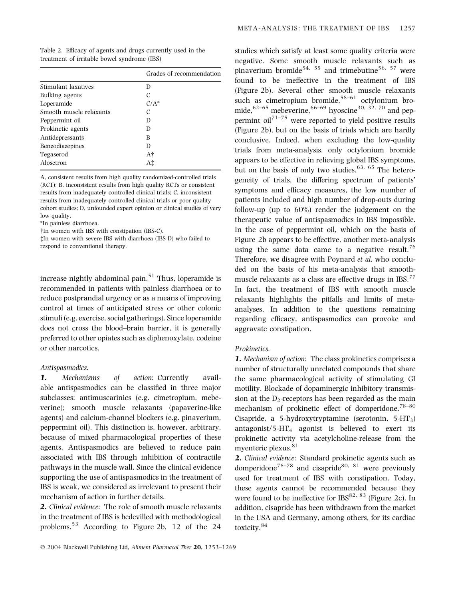|  |                                             |  |  | Table 2. Efficacy of agents and drugs currently used in the |  |
|--|---------------------------------------------|--|--|-------------------------------------------------------------|--|
|  | treatment of irritable bowel syndrome (IBS) |  |  |                                                             |  |

|                         | Grades of recommendation |
|-------------------------|--------------------------|
| Stimulant laxatives     | D                        |
| Bulking agents          | C                        |
| Loperamide              | $C/A^*$                  |
| Smooth muscle relaxants | C                        |
| Peppermint oil          | D                        |
| Prokinetic agents       | D                        |
| Antidepressants         | В                        |
| Benzodiazepines         | D                        |
| Tegaserod               | Αt                       |
| Alosetron               | Αİ                       |
|                         |                          |

A, consistent results from high quality randomized-controlled trials (RCT); B, inconsistent results from high quality RCTs or consistent results from inadequately controlled clinical trials; C, inconsistent results from inadequately controlled clinical trials or poor quality cohort studies; D, unfounded expert opinion or clinical studies of very low quality.

\*In painless diarrhoea.

In women with IBS with constipation (IBS-C).

-In women with severe IBS with diarrhoea (IBS-D) who failed to respond to conventional therapy.

increase nightly abdominal pain. $51$  Thus, loperamide is recommended in patients with painless diarrhoea or to reduce postprandial urgency or as a means of improving control at times of anticipated stress or other colonic stimuli (e.g. exercise, social gatherings). Since loperamide does not cross the blood–brain barrier, it is generally preferred to other opiates such as diphenoxylate, codeine or other narcotics.

### Antispasmodics.

1. Mechanisms of action: Currently available antispasmodics can be classified in three major subclasses: antimuscarinics (e.g. cimetropium, mebeverine); smooth muscle relaxants (papaverine-like agents) and calcium-channel blockers (e.g. pinaverium, peppermint oil). This distinction is, however, arbitrary, because of mixed pharmacological properties of these agents. Antispasmodics are believed to reduce pain associated with IBS through inhibition of contractile pathways in the muscle wall. Since the clinical evidence supporting the use of antispasmodics in the treatment of IBS is weak, we considered as irrelevant to present their mechanism of action in further details.

2. Clinical evidence: The role of smooth muscle relaxants in the treatment of IBS is bedevilled with methodological problems.<sup>53</sup> According to Figure 2b, 12 of the 24

studies which satisfy at least some quality criteria were negative. Some smooth muscle relaxants such as pinaverium bromide<sup>54, 55</sup> and trimebutine<sup>56, 57</sup> were found to be ineffective in the treatment of IBS (Figure 2b). Several other smooth muscle relaxants such as cimetropium bromide,<sup>58-61</sup> octylonium bromide,  $62-65$  mebeverine,  $66-69$  hyoscine  $30, 32, 70$  and peppermint oil<sup>71–75</sup> were reported to yield positive results (Figure 2b), but on the basis of trials which are hardly conclusive. Indeed, when excluding the low-quality trials from meta-analysis, only octylonium bromide appears to be effective in relieving global IBS symptoms, but on the basis of only two studies.<sup>63, 65</sup> The heterogeneity of trials, the differing spectrum of patients' symptoms and efficacy measures, the low number of patients included and high number of drop-outs during follow-up (up to 60%) render the judgement on the therapeutic value of antispasmodics in IBS impossible. In the case of peppermint oil, which on the basis of Figure 2b appears to be effective, another meta-analysis using the same data came to a negative result.<sup>76</sup> Therefore, we disagree with Poynard et al. who concluded on the basis of his meta-analysis that smoothmuscle relaxants as a class are effective drugs in IBS.<sup>77</sup> In fact, the treatment of IBS with smooth muscle relaxants highlights the pitfalls and limits of metaanalyses. In addition to the questions remaining regarding efficacy, antispasmodics can provoke and aggravate constipation.

#### Prokinetics.

1. Mechanism of action: The class prokinetics comprises a number of structurally unrelated compounds that share the same pharmacological activity of stimulating GI motility. Blockade of dopaminergic inhibitory transmission at the  $D<sub>2</sub>$ -receptors has been regarded as the main mechanism of prokinetic effect of domperidone.<sup>78–80</sup> Cisapride, a 5-hydroxytryptamine (serotonin, 5-HT3) antagonist/5-HT<sub>4</sub> agonist is believed to exert its prokinetic activity via acetylcholine-release from the myenteric plexus.<sup>81</sup>

2. Clinical evidence: Standard prokinetic agents such as domperidone<sup>76–78</sup> and cisapride<sup>80, 81</sup> were previously used for treatment of IBS with constipation. Today, these agents cannot be recommended because they were found to be ineffective for  $IBS^{82, 83}$  (Figure 2c). In addition, cisapride has been withdrawn from the market in the USA and Germany, among others, for its cardiac toxicity.<sup>84</sup>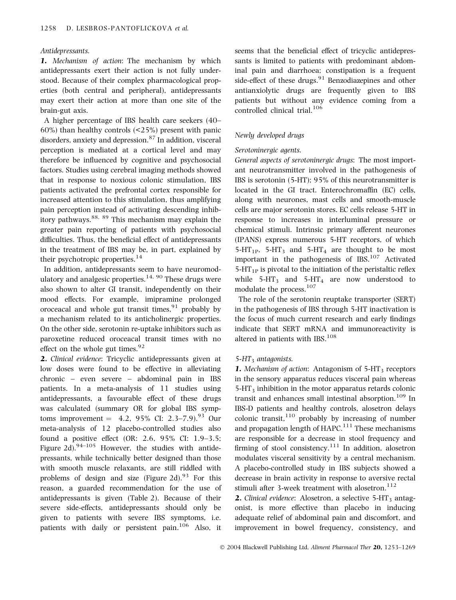## Antidepressants.

1. Mechanism of action: The mechanism by which antidepressants exert their action is not fully understood. Because of their complex pharmacological properties (both central and peripheral), antidepressants may exert their action at more than one site of the brain-gut axis.

A higher percentage of IBS health care seekers (40–  $60\%$ ) than healthy controls  $\left( < 25\% \right)$  present with panic disorders, anxiety and depression.<sup>87</sup> In addition, visceral perception is mediated at a cortical level and may therefore be influenced by cognitive and psychosocial factors. Studies using cerebral imaging methods showed that in response to noxious colonic stimulation, IBS patients activated the prefrontal cortex responsible for increased attention to this stimulation, thus amplifying pain perception instead of activating descending inhibitory pathways.88, 89 This mechanism may explain the greater pain reporting of patients with psychosocial difficulties. Thus, the beneficial effect of antidepressants in the treatment of IBS may be, in part, explained by their psychotropic properties.<sup>14</sup>

In addition, antidepressants seem to have neuromodulatory and analgesic properties.<sup>14, 90</sup> These drugs were also shown to alter GI transit, independently on their mood effects. For example, imipramine prolonged oroceacal and whole gut transit times,  $91$  probably by a mechanism related to its anticholinergic properties. On the other side, serotonin re-uptake inhibitors such as paroxetine reduced oroceacal transit times with no effect on the whole gut times.<sup>92</sup>

2. Clinical evidence: Tricyclic antidepressants given at low doses were found to be effective in alleviating chronic – even severe – abdominal pain in IBS patients. In a meta-analysis of 11 studies using antidepressants, a favourable effect of these drugs was calculated (summary OR for global IBS symptoms improvement = 4.2, 95% CI: 2.3–7.9).<sup>93</sup> Our meta-analysis of 12 placebo-controlled studies also found a positive effect (OR: 2.6, 95% CI: 1.9–3.5; Figure 2d).  $94-105$  However, the studies with antidepressants, while technically better designed than those with smooth muscle relaxants, are still riddled with problems of design and size (Figure 2d). $93$  For this reason, a guarded recommendation for the use of antidepressants is given (Table 2). Because of their severe side-effects, antidepressants should only be given to patients with severe IBS symptoms, i.e. patients with daily or persistent pain.<sup>106</sup> Also, it seems that the beneficial effect of tricyclic antidepressants is limited to patients with predominant abdominal pain and diarrhoea; constipation is a frequent side-effect of these drugs. $91$  Benzodiazepines and other antianxiolytic drugs are frequently given to IBS patients but without any evidence coming from a controlled clinical trial.<sup>106</sup>

## Newly developed drugs

## Serotoninergic agents.

General aspects of serotoninergic drugs: The most important neurotransmitter involved in the pathogenesis of IBS is serotonin (5-HT); 95% of this neurotransmitter is located in the GI tract. Enterochromaffin (EC) cells, along with neurones, mast cells and smooth-muscle cells are major serotonin stores. EC cells release 5-HT in response to increases in interluminal pressure or chemical stimuli. Intrinsic primary afferent neurones (IPANS) express numerous 5-HT receptors, of which  $5-HT_{1P}$ ,  $5-HT_3$  and  $5-HT_4$  are thought to be most important in the pathogenesis of IBS.<sup>107</sup> Activated  $5-\text{HT}_{1\text{P}}$  is pivotal to the initiation of the peristaltic reflex while  $5-\text{HT}_3$  and  $5-\text{HT}_4$  are now understood to modulate the process.<sup>107</sup>

The role of the serotonin reuptake transporter (SERT) in the pathogenesis of IBS through 5-HT inactivation is the focus of much current research and early findings indicate that SERT mRNA and immunoreactivity is altered in patients with IBS.108

## $5-HT<sub>3</sub>$  antagonists.

1. Mechanism of action: Antagonism of  $5-HT<sub>3</sub>$  receptors in the sensory apparatus reduces visceral pain whereas  $5-\text{HT}_3$  inhibition in the motor apparatus retards colonic transit and enhances small intestinal absorption.<sup>109</sup> In IBS-D patients and healthy controls, alosetron delays colonic transit, $110$  probably by increasing of number and propagation length of  $HAPC$ <sup>111</sup> These mechanisms are responsible for a decrease in stool frequency and firming of stool consistency.<sup>111</sup> In addition, alosetron modulates visceral sensitivity by a central mechanism. A placebo-controlled study in IBS subjects showed a decrease in brain activity in response to aversive rectal stimuli after 3-week treatment with alosetron. $^{112}$ 

**2.** Clinical evidence: Alosetron, a selective  $5-HT_3$  antagonist, is more effective than placebo in inducing adequate relief of abdominal pain and discomfort, and improvement in bowel frequency, consistency, and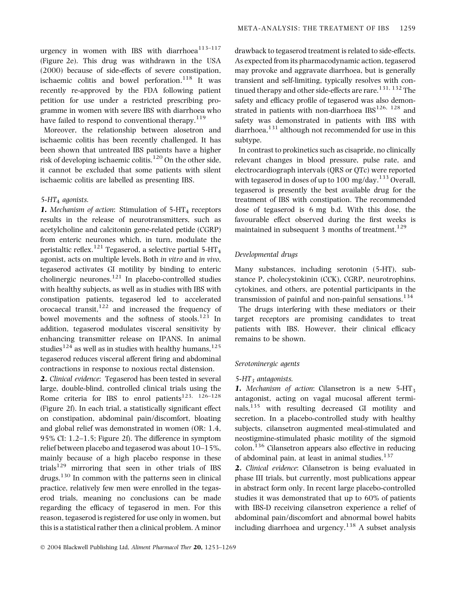urgency in women with IBS with diarrhoea<sup>113–117</sup> (Figure 2e). This drug was withdrawn in the USA (2000) because of side-effects of severe constipation, ischaemic colitis and bowel perforation. $118$  It was recently re-approved by the FDA following patient petition for use under a restricted prescribing programme in women with severe IBS with diarrhoea who have failed to respond to conventional therapy. $119$ 

Moreover, the relationship between alosetron and ischaemic colitis has been recently challenged. It has been shown that untreated IBS patients have a higher risk of developing ischaemic colitis.<sup>120</sup> On the other side, it cannot be excluded that some patients with silent ischaemic colitis are labelled as presenting IBS.

# $5-HT_4$  agonists.

1. Mechanism of action: Stimulation of  $5-HT<sub>4</sub>$  receptors results in the release of neurotransmitters, such as acetylcholine and calcitonin gene-related petide (CGRP) from enteric neurones which, in turn, modulate the peristaltic reflex.<sup>121</sup> Tegaserod, a selective partial  $5-HT<sub>4</sub>$ agonist, acts on multiple levels. Both in vitro and in vivo, tegaserod activates GI motility by binding to enteric cholinergic neurones.<sup>121</sup> In placebo-controlled studies with healthy subjects, as well as in studies with IBS with constipation patients, tegaserod led to accelerated orocaecal transit, $122$  and increased the frequency of bowel movements and the softness of stools.<sup>123</sup> In addition, tegaserod modulates visceral sensitivity by enhancing transmitter release on IPANS. In animal studies<sup>124</sup> as well as in studies with healthy humans,<sup>125</sup> tegaserod reduces visceral afferent firing and abdominal contractions in response to noxious rectal distension.

2. Clinical evidence: Tegaserod has been tested in several large, double-blind, controlled clinical trials using the Rome criteria for IBS to enrol patients<sup>123, 126–128</sup> (Figure 2f). In each trial, a statistically significant effect on constipation, abdominal pain/discomfort, bloating and global relief was demonstrated in women (OR: 1.4, 95% CI: 1.2–1.5; Figure 2f). The difference in symptom relief between placebo and tegaserod was about 10–15%, mainly because of a high placebo response in these trials<sup>129</sup> mirroring that seen in other trials of IBS  $drugs.$ <sup>130</sup> In common with the patterns seen in clinical practice, relatively few men were enrolled in the tegaserod trials, meaning no conclusions can be made regarding the efficacy of tegaserod in men. For this reason, tegaserod is registered for use only in women, but this is a statistical rather then a clinical problem. A minor drawback to tegaserod treatment is related to side-effects. As expected from its pharmacodynamic action, tegaserod may provoke and aggravate diarrhoea, but is generally transient and self-limiting, typically resolves with continued therapy and other side-effects are rare.<sup>131, 132</sup> The safety and efficacy profile of tegaserod was also demonstrated in patients with non-diarrhoea  $IBS<sup>126, 128</sup>$  and safety was demonstrated in patients with IBS with diarrhoea, $^{131}$  although not recommended for use in this subtype.

In contrast to prokinetics such as cisapride, no clinically relevant changes in blood pressure, pulse rate, and electrocardiograph intervals (QRS or QTc) were reported with tegaserod in doses of up to  $100 \text{ mg/day}$ .<sup>133</sup> Overall, tegaserod is presently the best available drug for the treatment of IBS with constipation. The recommended dose of tegaserod is 6 mg b.d. With this dose, the favourable effect observed during the first weeks is maintained in subsequent 3 months of treatment.<sup>129</sup>

## Developmental drugs

Many substances, including serotonin (5-HT), substance P, cholecystokinin (CCK), CGRP, neurotrophins, cytokines, and others, are potential participants in the transmission of painful and non-painful sensations.<sup>134</sup>

The drugs interfering with these mediators or their target receptors are promising candidates to treat patients with IBS. However, their clinical efficacy remains to be shown.

#### Serotoninergic agents

#### $5-HT<sub>3</sub>$  antagonists.

1. Mechanism of action: Cilansetron is a new  $5-HT<sub>3</sub>$ antagonist, acting on vagal mucosal afferent terminals,135 with resulting decreased GI motility and secretion. In a placebo-controlled study with healthy subjects, cilansetron augmented meal-stimulated and neostigmine-stimulated phasic motility of the sigmoid colon.136 Cilansetron appears also effective in reducing of abdominal pain, at least in animal studies. $137$ 

2. Clinical evidence: Cilansetron is being evaluated in phase III trials, but currently, most publications appear in abstract form only. In recent large placebo-controlled studies it was demonstrated that up to 60% of patients with IBS-D receiving cilansetron experience a relief of abdominal pain/discomfort and abnormal bowel habits including diarrhoea and urgency.<sup>138</sup> A subset analysis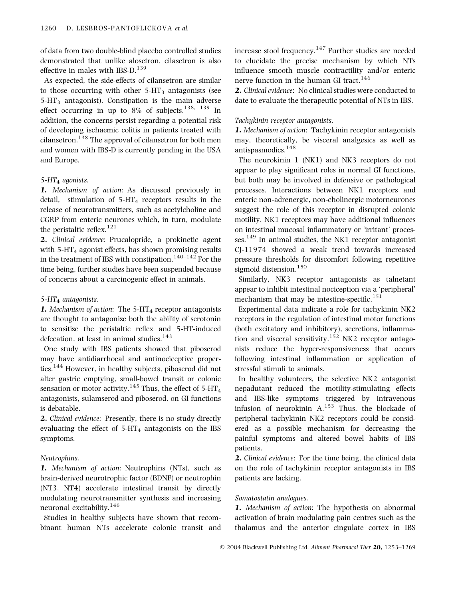of data from two double-blind placebo controlled studies demonstrated that unlike alosetron, cilasetron is also effective in males with IBS-D. $^{139}$ 

As expected, the side-effects of cilansetron are similar to those occurring with other  $5-\text{HT}_3$  antagonists (see  $5-\text{HT}_3$  antagonist). Constipation is the main adverse effect occurring in up to  $8\%$  of subjects.<sup>138, 139</sup> In addition, the concerns persist regarding a potential risk of developing ischaemic colitis in patients treated with cilansetron.<sup>138</sup> The approval of cilansetron for both men and women with IBS-D is currently pending in the USA and Europe.

## $5-HT_4$  agonists.

1. Mechanism of action: As discussed previously in detail, stimulation of  $5-HT<sub>4</sub>$  receptors results in the release of neurotransmitters, such as acetylcholine and CGRP from enteric neurones which, in turn, modulate the peristaltic reflex.<sup>121</sup>

2. Clinical evidence: Prucalopride, a prokinetic agent with  $5-\text{HT}_4$  agonist effects, has shown promising results in the treatment of IBS with constipation.<sup>140–142</sup> For the time being, further studies have been suspended because of concerns about a carcinogenic effect in animals.

#### $5-HT_4$  antagonists.

1. Mechanism of action: The  $5-HT_4$  receptor antagonists are thought to antagonize both the ability of serotonin to sensitize the peristaltic reflex and 5-HT-induced defecation, at least in animal studies. $143$ 

One study with IBS patients showed that piboserod may have antidiarrhoeal and antinociceptive properties.<sup>144</sup> However, in healthy subjects, piboserod did not alter gastric emptying, small-bowel transit or colonic sensation or motor activity.<sup>145</sup> Thus, the effect of  $5-HT_4$ antagonists, sulamserod and piboserod, on GI functions is debatable.

2. Clinical evidence: Presently, there is no study directly evaluating the effect of  $5-HT_4$  antagonists on the IBS symptoms.

## Neutrophins.

1. Mechanism of action: Neutrophins (NTs), such as brain-derived neurotrophic factor (BDNF) or neutrophin (NT3, NT4) accelerate intestinal transit by directly modulating neurotransmitter synthesis and increasing neuronal excitability.<sup>146</sup>

Studies in healthy subjects have shown that recombinant human NTs accelerate colonic transit and increase stool frequency.<sup>147</sup> Further studies are needed to elucidate the precise mechanism by which NTs influence smooth muscle contractility and/or enteric nerve function in the human GI tract.<sup>146</sup>

2. Clinical evidence: No clinical studies were conducted to date to evaluate the therapeutic potential of NTs in IBS.

### Tachykinin receptor antagonists.

1. Mechanism of action: Tachykinin receptor antagonists may, theoretically, be visceral analgesics as well as antispasmodics.<sup>148</sup>

The neurokinin 1 (NK1) and NK3 receptors do not appear to play significant roles in normal GI functions, but both may be involved in defensive or pathological processes. Interactions between NK1 receptors and enteric non-adrenergic, non-cholinergic motorneurones suggest the role of this receptor in disrupted colonic motility. NK1 receptors may have additional influences on intestinal mucosal inflammatory or 'irritant' processes.<sup>149</sup> In animal studies, the NK1 receptor antagonist CJ-11974 showed a weak trend towards increased pressure thresholds for discomfort following repetitive sigmoid distension.<sup>150</sup>

Similarly, NK3 receptor antagonists as talnetant appear to inhibit intestinal nociception via a 'peripheral' mechanism that may be intestine-specific.<sup>151</sup>

Experimental data indicate a role for tachykinin NK2 receptors in the regulation of intestinal motor functions (both excitatory and inhibitory), secretions, inflammation and visceral sensitivity.<sup>152</sup> NK2 receptor antagonists reduce the hyper-responsiveness that occurs following intestinal inflammation or application of stressful stimuli to animals.

In healthy volunteers, the selective NK2 antagonist nepadutant reduced the motility-stimulating effects and IBS-like symptoms triggered by intravenous infusion of neurokinin  $A$ .<sup>153</sup> Thus, the blockade of peripheral tachykinin NK2 receptors could be considered as a possible mechanism for decreasing the painful symptoms and altered bowel habits of IBS patients.

2. Clinical evidence: For the time being, the clinical data on the role of tachykinin receptor antagonists in IBS patients are lacking.

#### Somatostatin analogues.

1. Mechanism of action: The hypothesis on abnormal activation of brain modulating pain centres such as the thalamus and the anterior cingulate cortex in IBS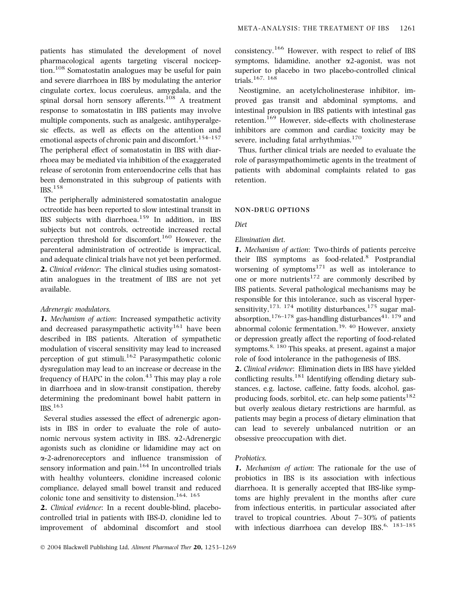multiple components, such as analgesic, antihyperalgesic effects, as well as effects on the attention and emotional aspects of chronic pain and discomfort.<sup>154–157</sup> The peripheral effect of somatostatin in IBS with diarrhoea may be mediated via inhibition of the exaggerated release of serotonin from enteroendocrine cells that has been demonstrated in this subgroup of patients with IBS.<sup>158</sup>

The peripherally administered somatostatin analogue octreotide has been reported to slow intestinal transit in IBS subjects with diarrhoea.<sup>159</sup> In addition, in IBS subjects but not controls, octreotide increased rectal perception threshold for discomfort.<sup>160</sup> However, the parenteral administration of octreotide is impractical, and adequate clinical trials have not yet been performed. 2. Clinical evidence: The clinical studies using somatostatin analogues in the treatment of IBS are not yet available.

## Adrenergic modulators.

1. Mechanism of action: Increased sympathetic activity and decreased parasympathetic activity<sup>161</sup> have been described in IBS patients. Alteration of sympathetic modulation of visceral sensitivity may lead to increased perception of gut stimuli.<sup>162</sup> Parasympathetic colonic dysregulation may lead to an increase or decrease in the frequency of HAPC in the colon. $43$  This may play a role in diarrhoea and in slow-transit constipation, thereby determining the predominant bowel habit pattern in  $IBS.<sup>163</sup>$ 

Several studies assessed the effect of adrenergic agonists in IBS in order to evaluate the role of autonomic nervous system activity in IBS.  $\alpha$ 2-Adrenergic agonists such as clonidine or lidamidine may act on a-2-adrenoreceptors and influence transmission of sensory information and pain.<sup>164</sup> In uncontrolled trials with healthy volunteers, clonidine increased colonic compliance, delayed small bowel transit and reduced colonic tone and sensitivity to distension.<sup>164, 165</sup>

2. Clinical evidence: In a recent double-blind, placebocontrolled trial in patients with IBS-D, clonidine led to improvement of abdominal discomfort and stool

consistency.<sup>166</sup> However, with respect to relief of IBS symptoms, lidamidine, another a2-agonist, was not superior to placebo in two placebo-controlled clinical trials.167, 168

Neostigmine, an acetylcholinesterase inhibitor, improved gas transit and abdominal symptoms, and intestinal propulsion in IBS patients with intestinal gas retention.<sup>169</sup> However, side-effects with cholinesterase inhibitors are common and cardiac toxicity may be severe, including fatal arrhythmias.<sup>170</sup>

Thus, further clinical trials are needed to evaluate the role of parasympathomimetic agents in the treatment of patients with abdominal complaints related to gas retention.

# NON-DRUG OPTIONS

# Diet

# Elimination diet.

1. Mechanism of action: Two-thirds of patients perceive their IBS symptoms as food-related.<sup>8</sup> Postprandial worsening of symptoms $171$  as well as intolerance to one or more nutrients<sup>172</sup> are commonly described by IBS patients. Several pathological mechanisms may be responsible for this intolerance, such as visceral hypersensitivity,<sup>173, 174</sup> motility disturbances,<sup>175</sup> sugar malabsorption,  $176-178$  gas-handling disturbances<sup>41, 179</sup> and abnormal colonic fermentation.<sup>39, 40</sup> However, anxiety or depression greatly affect the reporting of food-related symptoms.<sup>8, 180</sup> This speaks, at present, against a major role of food intolerance in the pathogenesis of IBS.

2. Clinical evidence: Elimination diets in IBS have yielded conflicting results.<sup>181</sup> Identifying offending dietary substances, e.g. lactose, caffeine, fatty foods, alcohol, gasproducing foods, sorbitol, etc. can help some patients<sup>182</sup> but overly zealous dietary restrictions are harmful, as patients may begin a process of dietary elimination that can lead to severely unbalanced nutrition or an obsessive preoccupation with diet.

# Probiotics.

1. Mechanism of action: The rationale for the use of probiotics in IBS is its association with infectious diarrhoea. It is generally accepted that IBS-like symptoms are highly prevalent in the months after cure from infectious enteritis, in particular associated after travel to tropical countries. About 7–30% of patients with infectious diarrhoea can develop IBS.<sup>6, 183-185</sup>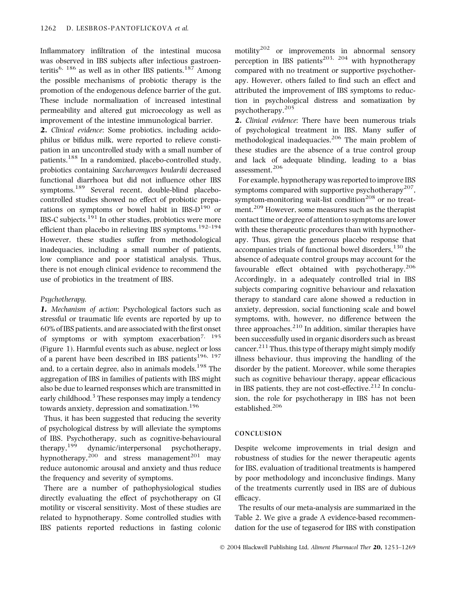Inflammatory infiltration of the intestinal mucosa was observed in IBS subjects after infectious gastroenteritis<sup>6, 186</sup> as well as in other IBS patients.<sup>187</sup> Among the possible mechanisms of probiotic therapy is the promotion of the endogenous defence barrier of the gut. These include normalization of increased intestinal permeability and altered gut microecology as well as improvement of the intestine immunological barrier.

2. Clinical evidence: Some probiotics, including acidophilus or bifidus milk, were reported to relieve constipation in an uncontrolled study with a small number of patients.<sup>188</sup> In a randomized, placebo-controlled study, probiotics containing Saccharomyces boulardii decreased functional diarrhoea but did not influence other IBS symptoms.<sup>189</sup> Several recent, double-blind placebocontrolled studies showed no effect of probiotic preparations on symptoms or bowel habit in IBS- $D^{190}$  or IBS-C subjects.191 In other studies, probiotics were more efficient than placebo in relieving IBS symptoms.<sup>192–194</sup> However, these studies suffer from methodological inadequacies, including a small number of patients, low compliance and poor statistical analysis. Thus, there is not enough clinical evidence to recommend the use of probiotics in the treatment of IBS.

#### Psychotherapy.

1. Mechanism of action: Psychological factors such as stressful or traumatic life events are reported by up to 60% of IBS patients, and are associated with the first onset of symptoms or with symptom exacerbation<sup>7, 195</sup> (Figure 1). Harmful events such as abuse, neglect or loss of a parent have been described in IBS patients<sup>196, 197</sup> and, to a certain degree, also in animals models.<sup>198</sup> The aggregation of IBS in families of patients with IBS might also be due to learned responses which are transmitted in early childhood.<sup>3</sup> These responses may imply a tendency towards anxiety, depression and somatization.<sup>196</sup>

Thus, it has been suggested that reducing the severity of psychological distress by will alleviate the symptoms of IBS. Psychotherapy, such as cognitive-behavioural therapy,<sup>199</sup> dynamic/interpersonal psychotherapy, hypnotherapy,  $200$  and stress management<sup>201</sup> may reduce autonomic arousal and anxiety and thus reduce the frequency and severity of symptoms.

There are a number of pathophysiological studies directly evaluating the effect of psychotherapy on GI motility or visceral sensitivity. Most of these studies are related to hypnotherapy. Some controlled studies with IBS patients reported reductions in fasting colonic motility<sup>202</sup> or improvements in abnormal sensory perception in IBS patients<sup>203, 204</sup> with hypnotherapy compared with no treatment or supportive psychotherapy. However, others failed to find such an effect and attributed the improvement of IBS symptoms to reduction in psychological distress and somatization by psychotherapy.<sup>205</sup>

2. Clinical evidence: There have been numerous trials of psychological treatment in IBS. Many suffer of methodological inadequacies.<sup>206</sup> The main problem of these studies are the absence of a true control group and lack of adequate blinding, leading to a bias assessment.<sup>206</sup>

For example, hypnotherapy was reported to improve IBS symptoms compared with supportive psychotherapy<sup>207</sup>. symptom-monitoring wait-list condition<sup>208</sup> or no treatment.<sup>209</sup> However, some measures such as the therapist contact time or degree of attention to symptoms are lower with these therapeutic procedures than with hypnotherapy. Thus, given the generous placebo response that accompanies trials of functional bowel disorders, $130$  the absence of adequate control groups may account for the favourable effect obtained with psychotherapy.<sup>206</sup> Accordingly, in a adequately controlled trial in IBS subjects comparing cognitive behaviour and relaxation therapy to standard care alone showed a reduction in anxiety, depression, social functioning scale and bowel symptoms, with, however, no difference between the three approaches. $^{210}$  In addition, similar therapies have been successfully used in organic disorders such as breast cancer.<sup>211</sup> Thus, this type of therapy might simply modify illness behaviour, thus improving the handling of the disorder by the patient. Moreover, while some therapies such as cognitive behaviour therapy, appear efficacious in IBS patients, they are not cost-effective. $212$  In conclusion, the role for psychotherapy in IBS has not been established.<sup>206</sup>

#### CONCLUSION

Despite welcome improvements in trial design and robustness of studies for the newer therapeutic agents for IBS, evaluation of traditional treatments is hampered by poor methodology and inconclusive findings. Many of the treatments currently used in IBS are of dubious efficacy.

The results of our meta-analysis are summarized in the Table 2. We give a grade A evidence-based recommendation for the use of tegaserod for IBS with constipation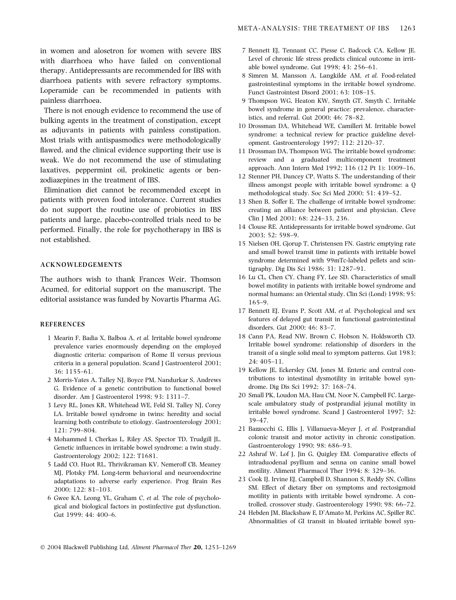in women and alosetron for women with severe IBS with diarrhoea who have failed on conventional therapy. Antidepressants are recommended for IBS with diarrhoea patients with severe refractory symptoms. Loperamide can be recommended in patients with painless diarrhoea.

There is not enough evidence to recommend the use of bulking agents in the treatment of constipation, except as adjuvants in patients with painless constipation. Most trials with antispasmodics were methodologically flawed, and the clinical evidence supporting their use is weak. We do not recommend the use of stimulating laxatives, peppermint oil, prokinetic agents or benzodiazepines in the treatment of IBS.

Elimination diet cannot be recommended except in patients with proven food intolerance. Current studies do not support the routine use of probiotics in IBS patients and large, placebo-controlled trials need to be performed. Finally, the role for psychotherapy in IBS is not established.

## ACKNOWLEDGEMENTS

The authors wish to thank Frances Weir, Thomson Acumed, for editorial support on the manuscript. The editorial assistance was funded by Novartis Pharma AG.

#### **REFERENCES**

- 1 Mearin F, Badia X, Balboa A, et al. Irritable bowel syndrome prevalence varies enormously depending on the employed diagnostic criteria: comparison of Rome II versus previous criteria in a general population. Scand J Gastroenterol 2001; 36: 1155–61.
- 2 Morris-Yates A, Talley NJ, Boyce PM, Nandurkar S, Andrews G. Evidence of a genetic contribution to functional bowel disorder. Am J Gastroenterol 1998; 93: 1311–7.
- 3 Levy RL, Jones KR, Whitehead WE, Feld SI, Talley NJ, Corey LA. Irritable bowel syndrome in twins: heredity and social learning both contribute to etiology. Gastroenterology 2001; 121: 799–804.
- 4 Mohammed I, Cherkas L, Riley AS, Spector TD, Trudgill JL. Genetic influences in irritable bowel syndrome: a twin study. Gastroenterology 2002; 122: T1681.
- 5 Ladd CO, Huot RL, Thrivikraman KV, Nemeroff CB, Meaney MJ, Plotsky PM. Long-term behavioral and neuroendocrine adaptations to adverse early experience. Prog Brain Res 2000; 122: 81–103.
- 6 Gwee KA, Leong YL, Graham C, et al. The role of psychological and biological factors in postinfective gut dysfunction. Gut 1999; 44: 400–6.
- 7 Bennett EJ, Tennant CC, Piesse C, Badcock CA, Kellow JE. Level of chronic life stress predicts clinical outcome in irritable bowel syndrome. Gut 1998; 43: 256–61.
- 8 Simren M, Mansson A, Langkilde AM, et al. Food-related gastrointestinal symptoms in the irritable bowel syndrome. Funct Gastrointest Disord 2001; 63: 108–15.
- 9 Thompson WG, Heaton KW, Smyth GT, Smyth C. Irritable bowel syndrome in general practice: prevalence, characteristics, and referral. Gut 2000; 46: 78–82.
- 10 Drossman DA, Whitehead WE, Camilleri M. Irritable bowel syndrome: a technical review for practice guideline development. Gastroenterology 1997; 112: 2120–37.
- 11 Drossman DA, Thompson WG. The irritable bowel syndrome: review and a graduated multicomponent treatment approach. Ann Intern Med 1992; 116 (12 Pt 1): 1009–16.
- 12 Stenner PH, Dancey CP, Watts S. The understanding of their illness amongst people with irritable bowel syndrome: a Q methodological study. Soc Sci Med 2000; 51: 439–52.
- 13 Shen B, Soffer E. The challenge of irritable bowel syndrome: creating an alliance between patient and physician. Cleve Clin J Med 2001; 68: 224–33, 236.
- 14 Clouse RE. Antidepressants for irritable bowel syndrome. Gut 2003; 52: 598–9.
- 15 Nielsen OH, Gjorup T, Christensen FN. Gastric emptying rate and small bowel transit time in patients with irritable bowel syndrome determined with 99mTc-labeled pellets and scintigraphy. Dig Dis Sci 1986; 31: 1287–91.
- 16 Lu CL, Chen CY, Chang FY, Lee SD. Characteristics of small bowel motility in patients with irritable bowel syndrome and normal humans: an Oriental study. Clin Sci (Lond) 1998; 95: 165–9.
- 17 Bennett EJ, Evans P, Scott AM, et al. Psychological and sex features of delayed gut transit in functional gastrointestinal disorders. Gut 2000; 46: 83–7.
- 18 Cann PA, Read NW, Brown C, Hobson N, Holdsworth CD. Irritable bowel syndrome: relationship of disorders in the transit of a single solid meal to symptom patterns. Gut 1983; 24: 405–11.
- 19 Kellow JE, Eckersley GM, Jones M. Enteric and central contributions to intestinal dysmotility in irritable bowel syndrome. Dig Dis Sci 1992; 37: 168–74.
- 20 Small PK, Loudon MA, Hau CM, Noor N, Campbell FC. Largescale ambulatory study of postprandial jejunal motility in irritable bowel syndrome. Scand J Gastroenterol 1997; 32: 39–47.
- 21 Bazzocchi G, Ellis J, Villanueva-Meyer J, et al. Postprandial colonic transit and motor activity in chronic constipation. Gastroenterology 1990; 98: 686–93.
- 22 Ashraf W, Lof J, Jin G, Quigley EM. Comparative effects of intraduodenal psyllium and senna on canine small bowel motility. Aliment Pharmacol Ther 1994; 8: 329–36.
- 23 Cook IJ, Irvine EJ, Campbell D, Shannon S, Reddy SN, Collins SM. Effect of dietary fiber on symptoms and rectosigmoid motility in patients with irritable bowel syndrome. A controlled, crossover study. Gastroenterology 1990; 98: 66–72.
- 24 Hebden JM, Blackshaw E, D'Amato M, Perkins AC, Spiller RC. Abnormalities of GI transit in bloated irritable bowel syn-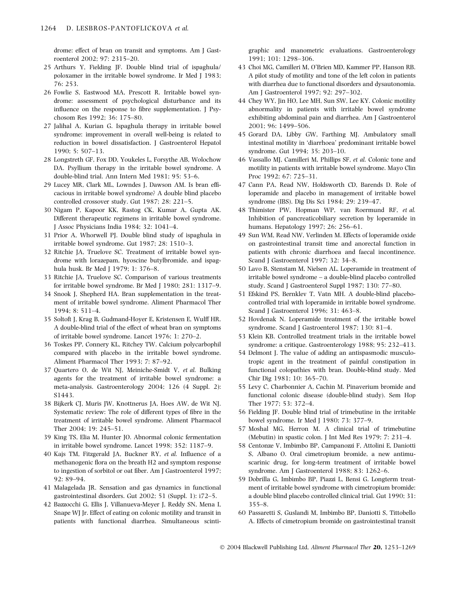drome: effect of bran on transit and symptoms. Am J Gastroenterol 2002; 97: 2315–20.

- 25 Arthurs Y, Fielding JF. Double blind trial of ispaghula/ poloxamer in the irritable bowel syndrome. Ir Med J 1983; 76: 253.
- 26 Fowlie S, Eastwood MA, Prescott R. Irritable bowel syndrome: assessment of psychological disturbance and its influence on the response to fibre supplementation. J Psychosom Res 1992; 36: 175–80.
- 27 Jalihal A, Kurian G. Ispaghula therapy in irritable bowel syndrome: improvement in overall well-being is related to reduction in bowel dissatisfaction. J Gastroenterol Hepatol 1990; 5: 507–13.
- 28 Longstreth GF, Fox DD, Youkeles L, Forsythe AB, Wolochow DA. Psyllium therapy in the irritable bowel syndrome. A double-blind trial. Ann Intern Med 1981; 95: 53–6.
- 29 Lucey MR, Clark ML, Lowndes J, Dawson AM. Is bran efficacious in irritable bowel syndrome? A double blind placebo controlled crossover study. Gut 1987; 28: 221–5.
- 30 Nigam P, Kapoor KK, Rastog CK, Kumar A, Gupta AK. Different therapeutic regimens in irritable bowel syndrome. J Assoc Physicians India 1984; 32: 1041–4.
- 31 Prior A, Whorwell PJ. Double blind study of ispaghula in irritable bowel syndrome. Gut 1987; 28: 1510–3.
- 32 Ritchie JA, Truelove SC. Treatment of irritable bowel syndrome with lorazepam, hyoscine butylbromide, and ispaghula husk. Br Med J 1979; 1: 376-8.
- 33 Ritchie JA, Truelove SC. Comparison of various treatments for irritable bowel syndrome. Br Med J 1980; 281: 1317-9.
- 34 Snook J, Shepherd HA. Bran supplementation in the treatment of irritable bowel syndrome. Aliment Pharmacol Ther 1994; 8: 511–4.
- 35 Soltoft J, Krag B, Gudmand-Hoyer E, Kristensen E, Wulff HR. A double-blind trial of the effect of wheat bran on symptoms of irritable bowel syndrome. Lancet 1976; 1: 270–2.
- 36 Toskes PP, Connery KL, Ritchey TW. Calcium polycarbophil compared with placebo in the irritable bowel syndrome. Aliment Pharmacol Ther 1993; 7: 87–92.
- 37 Quartero O, de Wit NJ, Meiniche-Smidt V, et al. Bulking agents for the treatment of irritable bowel syndrome: a meta-analysis. Gastroenterology 2004; 126 (4 Suppl. 2): S1443.
- 38 Bijkerk CJ, Muris JW, Knottnerus JA, Hoes AW, de Wit NJ. Systematic review: The role of different types of fibre in the treatment of irritable bowel syndrome. Aliment Pharmacol Ther 2004; 19: 245–51.
- 39 King TS, Elia M, Hunter JO. Abnormal colonic fermentation in irritable bowel syndrome. Lancet 1998; 352: 1187–9.
- 40 Kajs TM, Fitzgerald JA, Buckner RY, et al. Influence of a methanogenic flora on the breath H2 and symptom response to ingestion of sorbitol or oat fiber. Am J Gastroenterol 1997; 92: 89–94.
- 41 Malagelada JR. Sensation and gas dynamics in functional gastrointestinal disorders. Gut 2002; 51 (Suppl. 1): i72–5.
- 42 Bazzocchi G, Ellis J, Villanueva-Meyer J, Reddy SN, Mena I, Snape WJ Jr. Effect of eating on colonic motility and transit in patients with functional diarrhea. Simultaneous scinti-

graphic and manometric evaluations. Gastroenterology 1991; 101: 1298–306.

- 43 Choi MG, Camilleri M, O'Brien MD, Kammer PP, Hanson RB. A pilot study of motility and tone of the left colon in patients with diarrhea due to functional disorders and dysautonomia. Am J Gastroenterol 1997; 92: 297–302.
- 44 Chey WY, Jin HO, Lee MH, Sun SW, Lee KY. Colonic motility abnormality in patients with irritable bowel syndrome exhibiting abdominal pain and diarrhea. Am J Gastroenterol 2001; 96: 1499–506.
- 45 Gorard DA, Libby GW, Farthing MJ. Ambulatory small intestinal motility in 'diarrhoea' predominant irritable bowel syndrome. Gut 1994; 35: 203–10.
- 46 Vassallo MJ, Camilleri M, Phillips SF, et al. Colonic tone and motility in patients with irritable bowel syndrome. Mayo Clin Proc 1992; 67: 725–31.
- 47 Cann PA, Read NW, Holdsworth CD, Barends D. Role of loperamide and placebo in management of irritable bowel syndrome (IBS). Dig Dis Sci 1984; 29: 239–47.
- 48 Thimister PW, Hopman WP, van Roermund RF, et al. Inhibition of pancreaticobiliary secretion by loperamide in humans. Hepatology 1997; 26: 256–61.
- 49 Sun WM, Read NW, Verlinden M. Effects of loperamide oxide on gastrointestinal transit time and anorectal function in patients with chronic diarrhoea and faecal incontinence. Scand J Gastroenterol 1997; 32: 34–8.
- 50 Lavo B, Stenstam M, Nielsen AL. Loperamide in treatment of irritable bowel syndrome – a double-blind placebo controlled study. Scand J Gastroenterol Suppl 1987; 130: 77-80.
- 51 Efskind PS, Bernklev T, Vatn MH. A double-blind placebocontrolled trial with loperamide in irritable bowel syndrome. Scand J Gastroenterol 1996; 31: 463–8.
- 52 Hovdenak N. Loperamide treatment of the irritable bowel syndrome. Scand J Gastroenterol 1987; 130: 81-4.
- 53 Klein KB. Controlled treatment trials in the irritable bowel syndrome: a critique. Gastroenterology 1988; 95: 232–413.
- 54 Delmont J. The value of adding an antispasmodic musculotropic agent in the treatment of painful constipation in functional colopathies with bran. Double-blind study. Med Chir Dig 1981; 10: 365–70.
- 55 Levy C, Charbonnier A, Cachin M. Pinaverium bromide and functional colonic disease (double-blind study). Sem Hop Ther 1977; 53: 372–4.
- 56 Fielding JF. Double blind trial of trimebutine in the irritable bowel syndrome. Ir Med J 1980; 73: 377-9.
- 57 Moshal MG, Herron M. A clinical trial of trimebutine (Mebutin) in spastic colon. J Int Med Res 1979; 7: 231–4.
- 58 Centonze V, Imbimbo BP, Campanozzi F, Attolini E, Daniotti S, Albano O. Oral cimetropium bromide, a new antimuscarinic drug, for long-term treatment of irritable bowel syndrome. Am J Gastroenterol 1988; 83: 1262–6.
- 59 Dobrilla G, Imbimbo BP, Piazzi L, Bensi G. Longterm treatment of irritable bowel syndrome with cimetropium bromide: a double blind placebo controlled clinical trial. Gut 1990; 31: 355–8.
- 60 Passaretti S, Guslandi M, Imbimbo BP, Daniotti S, Tittobello A. Effects of cimetropium bromide on gastrointestinal transit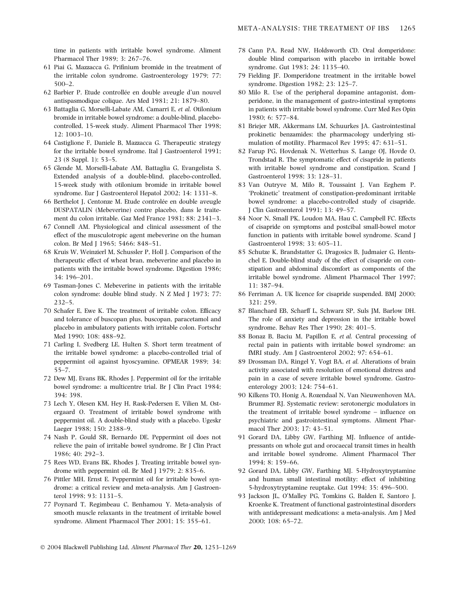time in patients with irritable bowel syndrome. Aliment Pharmacol Ther 1989; 3: 267–76.

- 61 Piai G, Mazzacca G. Prifinium bromide in the treatment of the irritable colon syndrome. Gastroenterology 1979; 77: 500–2.
- 62 Barbier P. Etude controllée en double aveugle d'un nouvel antispasmodique colique. Ars Med 1981; 21: 1879–80.
- 63 Battaglia G, Morselli-Labate AM, Camarri E, et al. Otilonium bromide in irritable bowel syndrome: a double-blind, placebocontrolled, 15-week study. Aliment Pharmacol Ther 1998; 12: 1003–10.
- 64 Castiglione F, Daniele B, Mazzacca G. Therapeutic strategy for the irritable bowel syndrome. Ital J Gastroenterol 1991; 23 (8 Suppl. 1): 53–5.
- 65 Glende M, Morselli-Labate AM, Battaglia G, Evangelista S. Extended analysis of a double-blind, placebo-controlled, 15-week study with otilonium bromide in irritable bowel syndrome. Eur J Gastroenterol Hepatol 2002; 14: 1331–8.
- 66 Berthelot J, Centonze M. Etude controlée en double aveugle DUSPATALIN (Mebeverine) contre placebo, dans le traitement du colon irritable. Gaz Med France 1981; 88: 2341–3.
- 67 Connell AM. Physiological and clinical assessment of the effect of the musculotropic agent mebeverine on the human colon. Br Med J 1965; 5466: 848–51.
- 68 Kruis W, Weinzierl M, Schussler P, Holl J. Comparison of the therapeutic effect of wheat bran, mebeverine and placebo in patients with the irritable bowel syndrome. Digestion 1986; 34: 196–201.
- 69 Tasman-Jones C. Mebeverine in patients with the irritable colon syndrome: double blind study. N Z Med J 1973; 77: 232–5.
- 70 Schafer E, Ewe K. The treatment of irritable colon. Efficacy and tolerance of buscopan plus, buscopan, paracetamol and placebo in ambulatory patients with irritable colon. Fortschr Med 1990; 108: 488–92.
- 71 Carling I, Svedberg LE, Hulten S. Short term treatment of the irritable bowel syndrome: a placebo-controlled trial of peppermint oil against hyoscyamine. OPMEAR 1989; 34: 55–7.
- 72 Dew MJ, Evans BK, Rhodes J. Peppermint oil for the irritable bowel syndrome: a multicentre trial. Br J Clin Pract 1984; 394: 398.
- 73 Lech Y, Olesen KM, Hey H, Rask-Pedersen E, Vilien M, Ostergaard O. Treatment of irritable bowel syndrome with peppermint oil. A double-blind study with a placebo. Ugeskr Laeger 1988; 150: 2388–9.
- 74 Nash P, Gould SR, Bernardo DE. Peppermint oil does not relieve the pain of irritable bowel syndrome. Br J Clin Pract 1986; 40: 292–3.
- 75 Rees WD, Evans BK, Rhodes J. Treating irritable bowel syndrome with peppermint oil. Br Med J 1979; 2: 835-6.
- 76 Pittler MH, Ernst E. Peppermint oil for irritable bowel syndrome: a critical review and meta-analysis. Am J Gastroenterol 1998; 93: 1131–5.
- 77 Poynard T, Regimbeau C, Benhamou Y. Meta-analysis of smooth muscle relaxants in the treatment of irritable bowel syndrome. Aliment Pharmacol Ther 2001; 15: 355–61.
- 78 Cann PA, Read NW, Holdsworth CD. Oral domperidone: double blind comparison with placebo in irritable bowel syndrome. Gut 1983; 24: 1135–40.
- 79 Fielding JF. Domperidone treatment in the irritable bowel syndrome. Digestion 1982; 23: 125–7.
- 80 Milo R. Use of the peripheral dopamine antagonist, domperidone, in the management of gastro-intestinal symptoms in patients with irritable bowel syndrome. Curr Med Res Opin 1980; 6: 577–84.
- 81 Briejer MR, Akkermans LM, Schuurkes JA. Gastrointestinal prokinetic benzamides: the pharmacology underlying stimulation of motility. Pharmacol Rev 1995; 47: 631–51.
- 82 Farup PG, Hovdenak N, Wetterhus S, Lange OJ, Hovde O, Trondstad R. The symptomatic effect of cisapride in patients with irritable bowel syndrome and constipation. Scand J Gastroenterol 1998; 33: 128–31.
- 83 Van Outryve M, Milo R, Toussaint J, Van Eeghem P. 'Prokinetic' treatment of constipation-predominant irritable bowel syndrome: a placebo-controlled study of cisapride. J Clin Gastroenterol 1991; 13: 49–57.
- 84 Noor N, Small PK, Loudon MA, Hau C, Campbell FC. Effects of cisapride on symptoms and postcibal small-bowel motor function in patients with irritable bowel syndrome. Scand J Gastroenterol 1998; 33: 605–11.
- 85 Schutze K, Brandstatter G, Dragosics B, Judmaier G, Hentschel E. Double-blind study of the effect of cisapride on constipation and abdominal discomfort as components of the irritable bowel syndrome. Aliment Pharmacol Ther 1997; 11: 387–94.
- 86 Ferriman A. UK licence for cisapride suspended. BMJ 2000; 321: 259.
- 87 Blanchard EB, Scharff L, Schwarz SP, Suls JM, Barlow DH. The role of anxiety and depression in the irritable bowel syndrome. Behav Res Ther 1990; 28: 401–5.
- 88 Bonaz B, Baciu M, Papillon E, et al. Central processing of rectal pain in patients with irritable bowel syndrome: an fMRI study. Am J Gastroenterol 2002; 97: 654–61.
- 89 Drossman DA, Ringel Y, Vogt BA, et al. Alterations of brain activity associated with resolution of emotional distress and pain in a case of severe irritable bowel syndrome. Gastroenterology 2003; 124: 754–61.
- 90 Kilkens TO, Honig A, Rozendaal N, Van Nieuwenhoven MA, Brummer RJ. Systematic review: serotonergic modulators in the treatment of irritable bowel syndrome – influence on psychiatric and gastrointestinal symptoms. Aliment Pharmacol Ther 2003; 17: 43–51.
- 91 Gorard DA, Libby GW, Farthing MJ. Influence of antidepressants on whole gut and orocaecal transit times in health and irritable bowel syndrome. Aliment Pharmacol Ther 1994; 8: 159–66.
- 92 Gorard DA, Libby GW, Farthing MJ. 5-Hydroxytryptamine and human small intestinal motility: effect of inhibiting 5-hydroxytryptamine reuptake. Gut 1994; 35: 496–500.
- 93 Jackson JL, O'Malley PG, Tomkins G, Balden E, Santoro J, Kroenke K. Treatment of functional gastrointestinal disorders with antidepressant medications: a meta-analysis. Am J Med 2000; 108: 65–72.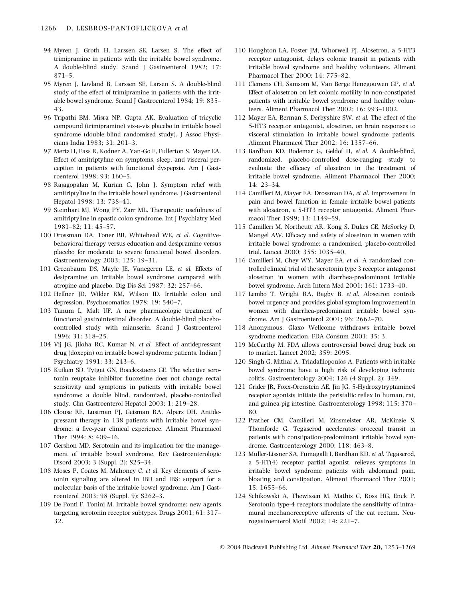- 94 Myren J, Groth H, Larssen SE, Larsen S. The effect of trimipramine in patients with the irritable bowel syndrome. A double-blind study. Scand J Gastroenterol 1982; 17: 871–5.
- 95 Myren J, Lovland B, Larssen SE, Larsen S. A double-blind study of the effect of trimipramine in patients with the irritable bowel syndrome. Scand J Gastroenterol 1984; 19: 835– 43.
- 96 Tripathi BM, Misra NP, Gupta AK. Evaluation of tricyclic compound (trimipramine) vis-a-vis placebo in irritable bowel syndrome (double blind randomised study). J Assoc Physicians India 1983; 31: 201–3.
- 97 Mertz H, Fass R, Kodner A, Yan-Go F, Fullerton S, Mayer EA. Effect of amitriptyline on symptoms, sleep, and visceral perception in patients with functional dyspepsia. Am J Gastroenterol 1998; 93: 160–5.
- 98 Rajagopalan M, Kurian G, John J. Symptom relief with amitriptyline in the irritable bowel syndrome. J Gastroenterol Hepatol 1998; 13: 738–41.
- 99 Steinhart MJ, Wong PY, Zarr ML. Therapeutic usefulness of amitriptyline in spastic colon syndrome. Int J Psychiatry Med 1981–82; 11: 45–57.
- 100 Drossman DA, Toner BB, Whitehead WE, et al. Cognitivebehavioral therapy versus education and desipramine versus placebo for moderate to severe functional bowel disorders. Gastroenterology 2003; 125: 19–31.
- 101 Greenbaum DS, Mayle JE, Vanegeren LE, et al. Effects of desipramine on irritable bowel syndrome compared with atropine and placebo. Dig Dis Sci 1987; 32: 257–66.
- 102 Heffner JD, Wilder RM, Wilson ID. Irritable colon and depression. Psychosomatics 1978; 19: 540–7.
- 103 Tanum L, Malt UF. A new pharmacologic treatment of functional gastrointestinal disorder. A double-blind placebocontrolled study with mianserin. Scand J Gastroenterol 1996; 31: 318–25.
- 104 Vij JG, Jiloha RC, Kumar N, et al. Effect of antidepressant drug (doxepin) on irritable bowel syndrome patients. Indian J Psychiatry 1991; 33: 243–6.
- 105 Kuiken SD, Tytgat GN, Boeckxstaens GE. The selective serotonin reuptake inhibitor fluoxetine does not change rectal sensitivity and symptoms in patients with irritable bowel syndrome: a double blind, randomized, placebo-controlled study. Clin Gastroenterol Hepatol 2003; 1: 219–28.
- 106 Clouse RE, Lustman PJ, Geisman RA, Alpers DH. Antidepressant therapy in 138 patients with irritable bowel syndrome: a five-year clinical experience. Aliment Pharmacol Ther 1994; 8: 409–16.
- 107 Gershon MD. Serotonin and its implication for the management of irritable bowel syndrome. Rev Gastroenterologic Disord 2003; 3 (Suppl. 2): S25–34.
- 108 Moses P, Coates M, Mahoney C, et al. Key elements of serotonin signaling are altered in IBD and IBS: support for a molecular basis of the irritable bowel syndrome. Am J Gastroenterol 2003; 98 (Suppl. 9): S262–3.
- 109 De Ponti F, Tonini M. Irritable bowel syndrome: new agents targeting serotonin receptor subtypes. Drugs 2001; 61: 317– 32.
- 110 Houghton LA, Foster JM, Whorwell PJ. Alosetron, a 5-HT3 receptor antagonist, delays colonic transit in patients with irritable bowel syndrome and healthy volunteers. Aliment Pharmacol Ther 2000; 14: 775–82.
- 111 Clemens CH, Samsom M, Van Berge Henegouwen GP, et al. Effect of alosetron on left colonic motility in non-constipated patients with irritable bowel syndrome and healthy volunteers. Aliment Pharmacol Ther 2002; 16: 993–1002.
- 112 Mayer EA, Berman S, Derbyshire SW, et al. The effect of the 5-HT3 receptor antagonist, alosetron, on brain responses to visceral stimulation in irritable bowel syndrome patients. Aliment Pharmacol Ther 2002; 16: 1357–66.
- 113 Bardhan KD, Bodemar G, Geldof H, et al. A double-blind, randomized, placebo-controlled dose-ranging study to evaluate the efficacy of alosetron in the treatment of irritable bowel syndrome. Aliment Pharmacol Ther 2000; 14: 23–34.
- 114 Camilleri M, Mayer EA, Drossman DA, et al. Improvement in pain and bowel function in female irritable bowel patients with alosetron, a 5-HT3 receptor antagonist. Aliment Pharmacol Ther 1999; 13: 1149–59.
- 115 Camilleri M, Northcutt AR, Kong S, Dukes GE, McSorley D, Mangel AW. Efficacy and safety of alosetron in women with irritable bowel syndrome: a randomised, placebo-controlled trial. Lancet 2000; 355: 1035–40.
- 116 Camilleri M, Chey WY, Mayer EA, et al. A randomized controlled clinical trial of the serotonin type 3 receptor antagonist alosetron in women with diarrhea-predominant irritable bowel syndrome. Arch Intern Med 2001; 161: 1733–40.
- 117 Lembo T, Wright RA, Bagby B, et al. Alosetron controls bowel urgency and provides global symptom improvement in women with diarrhea-predominant irritable bowel syndrome. Am J Gastroenterol 2001; 96: 2662–70.
- 118 Anonymous. Glaxo Wellcome withdraws irritable bowel syndrome medication. FDA Consum 2001; 35: 3.
- 119 McCarthy M. FDA allows controversial bowel drug back on to market. Lancet 2002; 359: 2095.
- 120 Singh G, Mithal A, Triadafilopoulos A. Patients with irritable bowel syndrome have a high risk of developing ischemic colitis. Gastroenterology 2004; 126 (4 Suppl. 2): 349.
- 121 Grider JR, Foxx-Orenstein AE, Jin JG. 5-Hydroxytryptamine4 receptor agonists initiate the peristaltic reflex in human, rat, and guinea pig intestine. Gastroenterology 1998; 115: 370– 80.
- 122 Prather CM, Camilleri M, Zinsmeister AR, McKinzie S, Thomforde G. Tegaserod accelerates orocecal transit in patients with constipation-predominant irritable bowel syndrome. Gastroenterology 2000; 118: 463–8.
- 123 Muller-Lissner SA, Fumagalli I, Bardhan KD, et al. Tegaserod, a 5-HT(4) receptor partial agonist, relieves symptoms in irritable bowel syndrome patients with abdominal pain, bloating and constipation. Aliment Pharmacol Ther 2001; 15: 1655–66.
- 124 Schikowski A, Thewissen M, Mathis C, Ross HG, Enck P. Serotonin type-4 receptors modulate the sensitivity of intramural mechanoreceptive afferents of the cat rectum. Neurogastroenterol Motil 2002; 14: 221–7.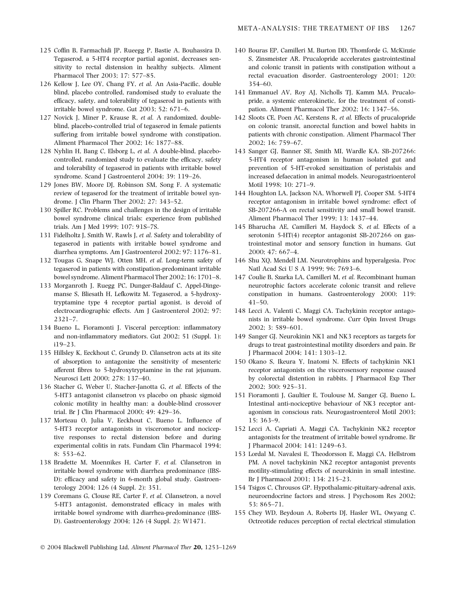- 125 Coffin B, Farmachidi JP, Rueegg P, Bastie A, Bouhassira D. Tegaserod, a 5-HT4 receptor partial agonist, decreases sensitivity to rectal distension in healthy subjects. Aliment Pharmacol Ther 2003; 17: 577–85.
- 126 Kellow J, Lee OY, Chang FY, et al. An Asia-Pacific, double blind, placebo controlled, randomised study to evaluate the efficacy, safety, and tolerability of tegaserod in patients with irritable bowel syndrome. Gut 2003; 52: 671–6.
- 127 Novick J, Miner P, Krause R, et al. A randomized, doubleblind, placebo-controlled trial of tegaserod in female patients suffering from irritable bowel syndrome with constipation. Aliment Pharmacol Ther 2002; 16: 1877–88.
- 128 Nyhlin H, Bang C, Elsborg L, et al. A double-blind, placebocontrolled, randomized study to evaluate the efficacy, safety and tolerability of tegaserod in patients with irritable bowel syndrome. Scand J Gastroenterol 2004; 39: 119-26.
- 129 Jones BW, Moore DJ, Robinson SM, Song F. A systematic review of tegaserod for the treatment of irritable bowel syndrome. J Clin Pharm Ther 2002; 27: 343–52.
- 130 Spiller RC. Problems and challenges in the design of irritable bowel syndrome clinical trials: experience from published trials. Am J Med 1999; 107: 91S–7S.
- 131 Fidelholtz J, Smith W, Rawls J, et al. Safety and tolerability of tegaserod in patients with irritable bowel syndrome and diarrhea symptoms. Am J Gastroenterol 2002; 97: 1176–81.
- 132 Tougas G, Snape WJ, Otten MH, et al. Long-term safety of tegaserod in patients with constipation-predominant irritable bowel syndrome. Aliment Pharmacol Ther 2002; 16: 1701–8.
- 133 Morganroth J, Ruegg PC, Dunger-Baldauf C, Appel-Dingemanse S, Bliesath H, Lefkowitz M. Tegaserod, a 5-hydroxytryptamine type 4 receptor partial agonist, is devoid of electrocardiographic effects. Am J Gastroenterol 2002; 97: 2321–7.
- 134 Bueno L, Fioramonti J. Visceral perception: inflammatory and non-inflammatory mediators. Gut 2002; 51 (Suppl. 1): i19–23.
- 135 Hillsley K, Eeckhout C, Grundy D. Cilansetron acts at its site of absorption to antagonize the sensitivity of mesenteric afferent fibres to 5-hydroxytryptamine in the rat jejunum. Neurosci Lett 2000; 278: 137–40.
- 136 Stacher G, Weber U, Stacher-Janotta G, et al. Effects of the 5-HT3 antagonist cilansetron vs placebo on phasic sigmoid colonic motility in healthy man: a double-blind crossover trial. Br J Clin Pharmacol 2000; 49: 429–36.
- 137 Morteau O, Julia V, Eeckhout C, Bueno L. Influence of 5-HT3 receptor antagonists in visceromotor and nociceptive responses to rectal distension before and during experimental colitis in rats. Fundam Clin Pharmacol 1994; 8: 553–62.
- 138 Bradette M, Moennikes H, Carter F, et al. Cilansetron in irritable bowel syndrome with diarrhea predominance (IBS-D): efficacy and safety in 6-month global study. Gastroenterology 2004; 126 (4 Suppl. 2): 351.
- 139 Coremans G, Clouse RE, Carter F, et al. Cilansetron, a novel 5-HT3 antagonist, demonstrated efficacy in males with irritable bowel syndrome with diarrhea-predominance (IBS-D). Gastroenterology 2004; 126 (4 Suppl. 2): W1471.
- 140 Bouras EP, Camilleri M, Burton DD, Thomforde G, McKinzie S, Zinsmeister AR. Prucalopride accelerates gastrointestinal and colonic transit in patients with constipation without a rectal evacuation disorder. Gastroenterology 2001; 120: 354–60.
- 141 Emmanuel AV, Roy AJ, Nicholls TJ, Kamm MA. Prucalopride, a systemic enterokinetic, for the treatment of constipation. Aliment Pharmacol Ther 2002; 16: 1347–56.
- 142 Sloots CE, Poen AC, Kerstens R, et al. Effects of prucalopride on colonic transit, anorectal function and bowel habits in patients with chronic constipation. Aliment Pharmacol Ther 2002; 16: 759–67.
- 143 Sanger GJ, Banner SE, Smith MI, Wardle KA. SB-207266: 5-HT4 receptor antagonism in human isolated gut and prevention of 5-HT-evoked sensitization of peristalsis and increased defaecation in animal models. Neurogastrioenterol Motil 1998; 10: 271–9.
- 144 Houghton LA, Jackson NA, Whorwell PJ, Cooper SM. 5-HT4 receptor antagonism in irritable bowel syndrome: effect of SB-207266-A on rectal sensitivity and small bowel transit. Aliment Pharmacol Ther 1999; 13: 1437–44.
- 145 Bharucha AE, Camilleri M, Haydock S, et al. Effects of a serotonin 5-HT(4) receptor antagonist SB-207266 on gastrointestinal motor and sensory function in humans. Gut 2000; 47: 667–4.
- 146 Shu XQ, Mendell LM. Neurotrophins and hyperalgesia. Proc Natl Acad Sci U S A 1999; 96: 7693–6.
- 147 Coulie B, Szarka LA, Camilleri M, et al. Recombinant human neurotrophic factors accelerate colonic transit and relieve constipation in humans. Gastroenterology 2000; 119: 41–50.
- 148 Lecci A, Valenti C, Maggi CA. Tachykinin receptor antagonists in irritable bowel syndrome. Curr Opin Invest Drugs 2002; 3: 589–601.
- 149 Sanger GJ. Neurokinin NK1 and NK3 receptors as targets for drugs to treat gastrointestinal motility disorders and pain. Br J Pharmacol 2004; 141: 1303–12.
- 150 Okano S, Ikeura Y, Inatomi N. Effects of tachykinin NK1 receptor antagonists on the viscerosensory response caused by colorectal distention in rabbits. J Pharmacol Exp Ther 2002; 300: 925–31.
- 151 Fioramonti J, Gaultier E, Toulouse M, Sanger GJ, Bueno L. Intestinal anti-nociceptive behaviour of NK3 receptor antagonism in conscious rats. Neurogastroenterol Motil 2003; 15: 363–9.
- 152 Lecci A, Capriati A, Maggi CA. Tachykinin NK2 receptor antagonists for the treatment of irritable bowel syndrome. Br J Pharmacol 2004; 141: 1249–63.
- 153 Lordal M, Navalesi E, Theodorsson E, Maggi CA, Hellstrom PM. A novel tachykinin NK2 receptor antagonist prevents motility-stimulating effects of neurokinin in small intestine. Br J Pharmacol 2001; 134: 215–23.
- 154 Tsigos C, Chrousos GP. Hypothalamic-pituitary-adrenal axis, neuroendocrine factors and stress. J Psychosom Res 2002; 53: 865–71.
- 155 Chey WD, Beydoun A, Roberts DJ, Hasler WL, Owyang C. Octreotide reduces perception of rectal electrical stimulation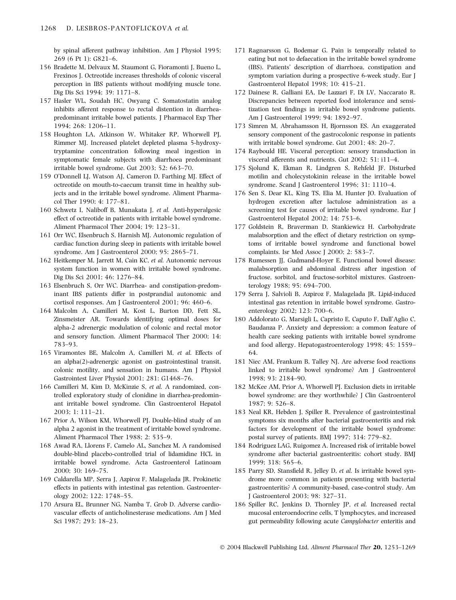by spinal afferent pathway inhibition. Am J Physiol 1995; 269 (6 Pt 1): G821–6.

- 156 Bradette M, Delvaux M, Staumont G, Fioramonti J, Bueno L, Frexinos J. Octreotide increases thresholds of colonic visceral perception in IBS patients without modifying muscle tone. Dig Dis Sci 1994; 39: 1171–8.
- 157 Hasler WL, Soudah HC, Owyang C. Somatostatin analog inhibits afferent response to rectal distention in diarrheapredominant irritable bowel patients. J Pharmacol Exp Ther 1994; 268: 1206–11.
- 158 Houghton LA, Atkinson W, Whitaker RP, Whorwell PJ, Rimmer MJ. Increased platelet depleted plasma 5-hydroxytryptamine concentration following meal ingestion in symptomatic female subjects with diarrhoea predominant irritable bowel syndrome. Gut 2003; 52: 663–70.
- 159 O'Donnell LJ, Watson AJ, Cameron D, Farthing MJ. Effect of octreotide on mouth-to-caecum transit time in healthy subjects and in the irritable bowel syndrome. Aliment Pharmacol Ther 1990; 4: 177–81.
- 160 Schwetz I, Naliboff B, Munakata J, et al. Anti-hyperalgesic effect of octreotide in patients with irritable bowel syndrome. Aliment Pharmacol Ther 2004; 19: 123–31.
- 161 Orr WC, Elsenbruch S, Harnish MJ. Autonomic regulation of cardiac function during sleep in patients with irritable bowel syndrome. Am J Gastroenterol 2000; 95: 2865–71.
- 162 Heitkemper M, Jarrett M, Cain KC, et al. Autonomic nervous system function in women with irritable bowel syndrome. Dig Dis Sci 2001; 46: 1276–84.
- 163 Elsenbruch S, Orr WC. Diarrhea- and constipation-predominant IBS patients differ in postprandial autonomic and cortisol responses. Am J Gastroenterol 2001; 96: 460–6.
- 164 Malcolm A, Camilleri M, Kost L, Burton DD, Fett SL, Zinsmeister AR. Towards identifying optimal doses for alpha-2 adrenergic modulation of colonic and rectal motor and sensory function. Aliment Pharmacol Ther 2000; 14: 783–93.
- 165 Viramontes BE, Malcolm A, Camilleri M, et al. Effects of an alpha(2)-adrenergic agonist on gastrointestinal transit, colonic motility, and sensation in humans. Am J Physiol Gastrointest Liver Physiol 2001; 281: G1468–76.
- 166 Camilleri M, Kim D, McKinzie S, et al. A randomized, controlled exploratory study of clonidine in diarrhea-predominant irritable bowel syndrome. Clin Gastroenterol Hepatol 2003; 1: 111–21.
- 167 Prior A, Wilson KM, Whorwell PJ. Double-blind study of an alpha 2 agonist in the treatment of irritable bowel syndrome. Aliment Pharmacol Ther 1988; 2: 535–9.
- 168 Awad RA, Llorens F, Camelo AL, Sanchez M. A randomised double-blind placebo-controlled trial of lidamidine HCL in irritable bowel syndrome. Acta Gastroenterol Latinoam 2000; 30: 169–75.
- 169 Caldarella MP, Serra J, Azpiroz F, Malagelada JR. Prokinetic effects in patients with intestinal gas retention. Gastroenterology 2002; 122: 1748–55.
- 170 Arsura EL, Brunner NG, Namba T, Grob D. Adverse cardiovascular effects of anticholinesterase medications. Am J Med Sci 1987; 293: 18–23.
- 171 Ragnarsson G, Bodemar G. Pain is temporally related to eating but not to defaecation in the irritable bowel syndrome (IBS). Patients' description of diarrhoea, constipation and symptom variation during a prospective 6-week study. Eur J Gastroenterol Hepatol 1998; 10: 415–21.
- 172 Dainese R, Galliani EA, De Lazzari F, Di LV, Naccarato R. Discrepancies between reported food intolerance and sensitization test findings in irritable bowel syndrome patients. Am J Gastroenterol 1999; 94: 1892–97.
- 173 Simren M, Abrahamsson H, Bjornsson ES. An exaggerated sensory component of the gastrocolonic response in patients with irritable bowel syndrome. Gut 2001; 48: 20–7.
- 174 Raybould HE. Visceral perception: sensory transduction in visceral afferents and nutrients. Gut 2002; 51: i11–4.
- 175 Sjolund K, Ekman R, Lindgren S, Rehfeld JF. Disturbed motilin and cholecystokinin release in the irritable bowel syndrome. Scand J Gastroenterol 1996; 31: 1110-4.
- 176 Sen S, Dear KL, King TS, Elia M, Hunter JO. Evaluation of hydrogen excretion after lactulose administration as a screening test for causes of irritable bowel syndrome. Eur J Gastroenterol Hepatol 2002; 14: 753–6.
- 177 Goldstein R, Braverman D, Stankiewicz H. Carbohydrate malabsorption and the effect of dietary restriction on symptoms of irritable bowel syndrome and functional bowel complaints. Isr Med Assoc J 2000; 2: 583-7.
- 178 Rumessen JJ, Gudmand-Hoyer E. Functional bowel disease: malabsorption and abdominal distress after ingestion of fructose, sorbitol, and fructose-sorbitol mixtures. Gastroenterology 1988; 95: 694–700.
- 179 Serra J, Salvioli B, Azpiroz F, Malagelada JR. Lipid-induced intestinal gas retention in irritable bowel syndrome. Gastroenterology 2002; 123: 700–6.
- 180 Addolorato G, Marsigli L, Capristo E, Caputo F, Dall'Aglio C, Baudanza P. Anxiety and depression: a common feature of health care seeking patients with irritable bowel syndrome and food allergy. Hepatogastroenterology 1998; 45: 1559– 64.
- 181 Niec AM, Frankum B, Talley NJ. Are adverse food reactions linked to irritable bowel syndrome? Am J Gastroenterol 1998; 93: 2184–90.
- 182 McKee AM, Prior A, Whorwell PJ. Exclusion diets in irritable bowel syndrome: are they worthwhile? J Clin Gastroenterol 1987; 9: 526–8.
- 183 Neal KR, Hebden J, Spiller R. Prevalence of gastrointestinal symptoms six months after bacterial gastroenteritis and risk factors for development of the irritable bowel syndrome: postal survey of patients. BMJ 1997; 314: 779–82.
- 184 Rodriguez LAG, Ruigomez A. Increased risk of irritable bowel syndrome after bacterial gastroenteritis: cohort study. BMJ 1999; 318: 565–6.
- 185 Parry SD, Stansfield R, Jelley D, et al. Is irritable bowel syndrome more common in patients presenting with bacterial gastroenteritis? A community-based, case-control study. Am J Gastroenterol 2003; 98: 327–31.
- 186 Spiller RC, Jenkins D, Thornley JP, et al. Increased rectal mucosal enteroendocrine cells, T lymphocytes, and increased gut permeability following acute Campylobacter enteritis and